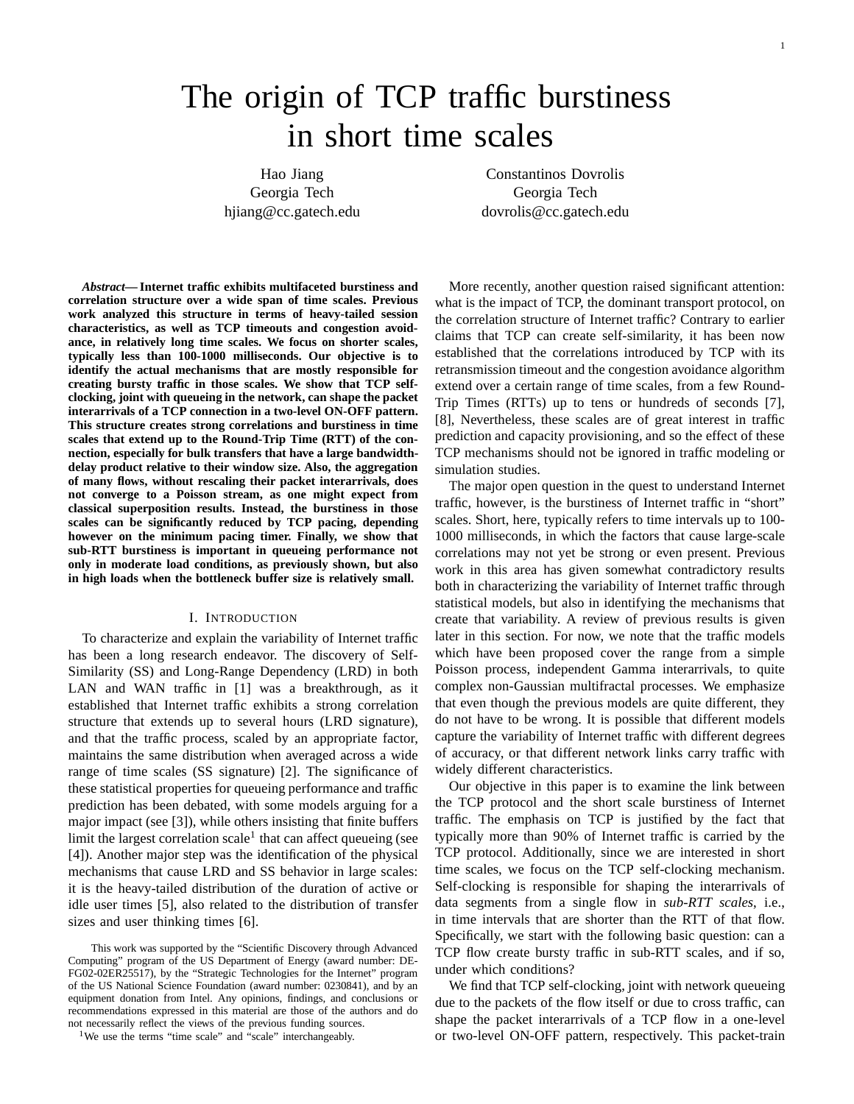# The origin of TCP traffic burstiness in short time scales

Hao Jiang Constantinos Dovrolis Georgia Tech Georgia Tech hjiang@cc.gatech.edu dovrolis@cc.gatech.edu

*Abstract***— Internet traffic exhibits multifaceted burstiness and correlation structure over a wide span of time scales. Previous work analyzed this structure in terms of heavy-tailed session characteristics, as well as TCP timeouts and congestion avoidance, in relatively long time scales. We focus on shorter scales, typically less than 100-1000 milliseconds. Our objective is to identify the actual mechanisms that are mostly responsible for creating bursty traffic in those scales. We show that TCP selfclocking, joint with queueing in the network, can shape the packet interarrivals of a TCP connection in a two-level ON-OFF pattern. This structure creates strong correlations and burstiness in time scales that extend up to the Round-Trip Time (RTT) of the connection, especially for bulk transfers that have a large bandwidthdelay product relative to their window size. Also, the aggregation of many flows, without rescaling their packet interarrivals, does not converge to a Poisson stream, as one might expect from classical superposition results. Instead, the burstiness in those scales can be significantly reduced by TCP pacing, depending however on the minimum pacing timer. Finally, we show that sub-RTT burstiness is important in queueing performance not only in moderate load conditions, as previously shown, but also in high loads when the bottleneck buffer size is relatively small.**

#### I. INTRODUCTION

To characterize and explain the variability of Internet traffic has been a long research endeavor. The discovery of Self-Similarity (SS) and Long-Range Dependency (LRD) in both LAN and WAN traffic in [1] was a breakthrough, as it established that Internet traffic exhibits a strong correlation structure that extends up to several hours (LRD signature), and that the traffic process, scaled by an appropriate factor, maintains the same distribution when averaged across a wide range of time scales (SS signature) [2]. The significance of these statistical properties for queueing performance and traffic prediction has been debated, with some models arguing for a major impact (see [3]), while others insisting that finite buffers limit the largest correlation scale<sup>1</sup> that can affect queueing (see [4]). Another major step was the identification of the physical mechanisms that cause LRD and SS behavior in large scales: it is the heavy-tailed distribution of the duration of active or idle user times [5], also related to the distribution of transfer sizes and user thinking times [6].

This work was supported by the "Scientific Discovery through Advanced Computing" program of the US Department of Energy (award number: DE-FG02-02ER25517), by the "Strategic Technologies for the Internet" program of the US National Science Foundation (award number: 0230841), and by an equipment donation from Intel. Any opinions, findings, and conclusions or recommendations expressed in this material are those of the authors and do not necessarily reflect the views of the previous funding sources.

<sup>1</sup>We use the terms "time scale" and "scale" interchangeably.

More recently, another question raised significant attention: what is the impact of TCP, the dominant transport protocol, on the correlation structure of Internet traffic? Contrary to earlier claims that TCP can create self-similarity, it has been now established that the correlations introduced by TCP with its retransmission timeout and the congestion avoidance algorithm extend over a certain range of time scales, from a few Round-Trip Times (RTTs) up to tens or hundreds of seconds [7], [8], Nevertheless, these scales are of great interest in traffic prediction and capacity provisioning, and so the effect of these TCP mechanisms should not be ignored in traffic modeling or simulation studies.

The major open question in the quest to understand Internet traffic, however, is the burstiness of Internet traffic in "short" scales. Short, here, typically refers to time intervals up to 100- 1000 milliseconds, in which the factors that cause large-scale correlations may not yet be strong or even present. Previous work in this area has given somewhat contradictory results both in characterizing the variability of Internet traffic through statistical models, but also in identifying the mechanisms that create that variability. A review of previous results is given later in this section. For now, we note that the traffic models which have been proposed cover the range from a simple Poisson process, independent Gamma interarrivals, to quite complex non-Gaussian multifractal processes. We emphasize that even though the previous models are quite different, they do not have to be wrong. It is possible that different models capture the variability of Internet traffic with different degrees of accuracy, or that different network links carry traffic with widely different characteristics.

Our objective in this paper is to examine the link between the TCP protocol and the short scale burstiness of Internet traffic. The emphasis on TCP is justified by the fact that typically more than 90% of Internet traffic is carried by the TCP protocol. Additionally, since we are interested in short time scales, we focus on the TCP self-clocking mechanism. Self-clocking is responsible for shaping the interarrivals of data segments from a single flow in *sub-RTT scales*, i.e., in time intervals that are shorter than the RTT of that flow. Specifically, we start with the following basic question: can a TCP flow create bursty traffic in sub-RTT scales, and if so, under which conditions?

We find that TCP self-clocking, joint with network queueing due to the packets of the flow itself or due to cross traffic, can shape the packet interarrivals of a TCP flow in a one-level or two-level ON-OFF pattern, respectively. This packet-train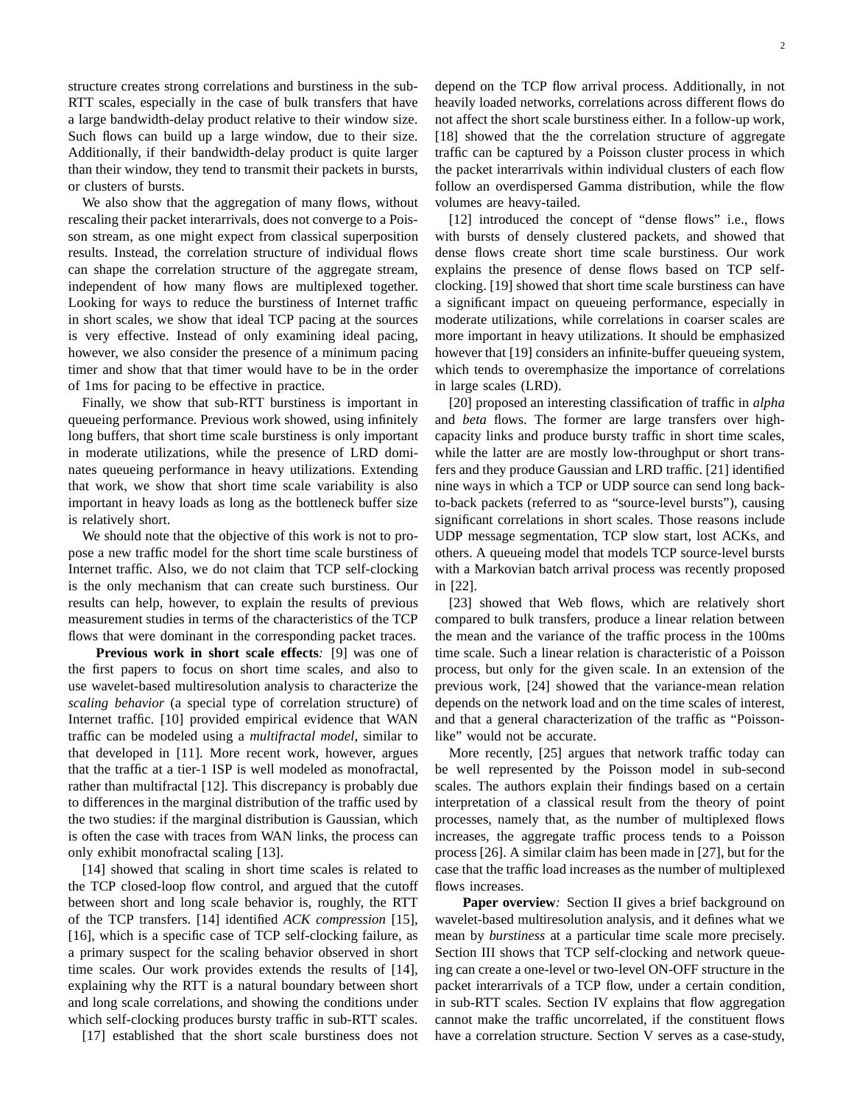structure creates strong correlations and burstiness in the sub-RTT scales, especially in the case of bulk transfers that have a large bandwidth-delay product relative to their window size. Such flows can build up a large window, due to their size. Additionally, if their bandwidth-delay product is quite larger than their window, they tend to transmit their packets in bursts, or clusters of bursts.

We also show that the aggregation of many flows, without rescaling their packet interarrivals, does not converge to a Poisson stream, as one might expect from classical superposition results. Instead, the correlation structure of individual flows can shape the correlation structure of the aggregate stream, independent of how many flows are multiplexed together. Looking for ways to reduce the burstiness of Internet traffic in short scales, we show that ideal TCP pacing at the sources is very effective. Instead of only examining ideal pacing, however, we also consider the presence of a minimum pacing timer and show that that timer would have to be in the order of 1ms for pacing to be effective in practice.

Finally, we show that sub-RTT burstiness is important in queueing performance. Previous work showed, using infinitely long buffers, that short time scale burstiness is only important in moderate utilizations, while the presence of LRD dominates queueing performance in heavy utilizations. Extending that work, we show that short time scale variability is also important in heavy loads as long as the bottleneck buffer size is relatively short.

We should note that the objective of this work is not to propose a new traffic model for the short time scale burstiness of Internet traffic. Also, we do not claim that TCP self-clocking is the only mechanism that can create such burstiness. Our results can help, however, to explain the results of previous measurement studies in terms of the characteristics of the TCP flows that were dominant in the corresponding packet traces.

**Previous work in short scale effects***:* [9] was one of the first papers to focus on short time scales, and also to use wavelet-based multiresolution analysis to characterize the *scaling behavior* (a special type of correlation structure) of Internet traffic. [10] provided empirical evidence that WAN traffic can be modeled using a *multifractal model*, similar to that developed in [11]. More recent work, however, argues that the traffic at a tier-1 ISP is well modeled as monofractal, rather than multifractal [12]. This discrepancy is probably due to differences in the marginal distribution of the traffic used by the two studies: if the marginal distribution is Gaussian, which is often the case with traces from WAN links, the process can only exhibit monofractal scaling [13].

[14] showed that scaling in short time scales is related to the TCP closed-loop flow control, and argued that the cutoff between short and long scale behavior is, roughly, the RTT of the TCP transfers. [14] identified *ACK compression* [15], [16], which is a specific case of TCP self-clocking failure, as a primary suspect for the scaling behavior observed in short time scales. Our work provides extends the results of [14], explaining why the RTT is a natural boundary between short and long scale correlations, and showing the conditions under which self-clocking produces bursty traffic in sub-RTT scales.

[17] established that the short scale burstiness does not

depend on the TCP flow arrival process. Additionally, in not heavily loaded networks, correlations across different flows do not affect the short scale burstiness either. In a follow-up work, [18] showed that the the correlation structure of aggregate traffic can be captured by a Poisson cluster process in which the packet interarrivals within individual clusters of each flow follow an overdispersed Gamma distribution, while the flow volumes are heavy-tailed.

[12] introduced the concept of "dense flows" i.e., flows with bursts of densely clustered packets, and showed that dense flows create short time scale burstiness. Our work explains the presence of dense flows based on TCP selfclocking. [19] showed that short time scale burstiness can have a significant impact on queueing performance, especially in moderate utilizations, while correlations in coarser scales are more important in heavy utilizations. It should be emphasized however that [19] considers an infinite-buffer queueing system, which tends to overemphasize the importance of correlations in large scales (LRD).

[20] proposed an interesting classification of traffic in *alpha* and *beta* flows. The former are large transfers over highcapacity links and produce bursty traffic in short time scales, while the latter are are mostly low-throughput or short transfers and they produce Gaussian and LRD traffic. [21] identified nine ways in which a TCP or UDP source can send long backto-back packets (referred to as "source-level bursts"), causing significant correlations in short scales. Those reasons include UDP message segmentation, TCP slow start, lost ACKs, and others. A queueing model that models TCP source-level bursts with a Markovian batch arrival process was recently proposed in [22].

[23] showed that Web flows, which are relatively short compared to bulk transfers, produce a linear relation between the mean and the variance of the traffic process in the 100ms time scale. Such a linear relation is characteristic of a Poisson process, but only for the given scale. In an extension of the previous work, [24] showed that the variance-mean relation depends on the network load and on the time scales of interest, and that a general characterization of the traffic as "Poissonlike" would not be accurate.

More recently, [25] argues that network traffic today can be well represented by the Poisson model in sub-second scales. The authors explain their findings based on a certain interpretation of a classical result from the theory of point processes, namely that, as the number of multiplexed flows increases, the aggregate traffic process tends to a Poisson process [26]. A similar claim has been made in [27], but for the case that the traffic load increases as the number of multiplexed flows increases.

**Paper overview***:* Section II gives a brief background on wavelet-based multiresolution analysis, and it defines what we mean by *burstiness* at a particular time scale more precisely. Section III shows that TCP self-clocking and network queueing can create a one-level or two-level ON-OFF structure in the packet interarrivals of a TCP flow, under a certain condition, in sub-RTT scales. Section IV explains that flow aggregation cannot make the traffic uncorrelated, if the constituent flows have a correlation structure. Section V serves as a case-study,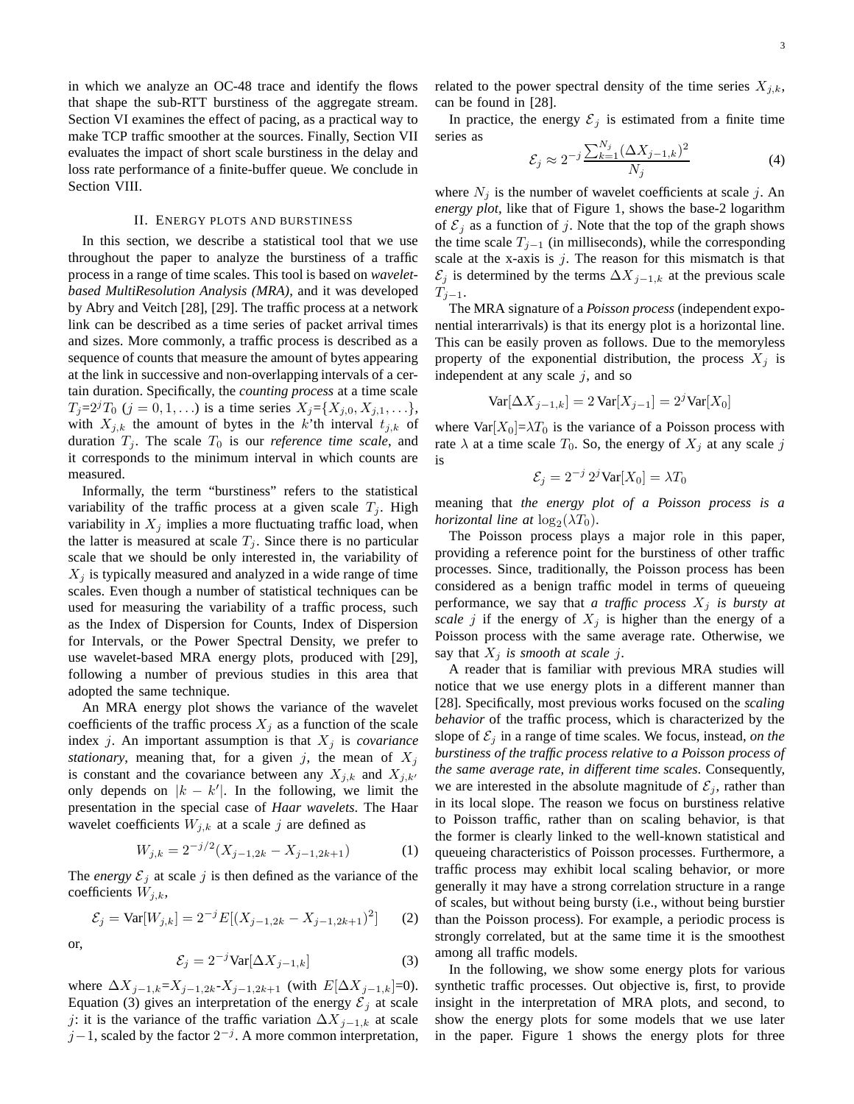in which we analyze an OC-48 trace and identify the flows that shape the sub-RTT burstiness of the aggregate stream. Section VI examines the effect of pacing, as a practical way to make TCP traffic smoother at the sources. Finally, Section VII evaluates the impact of short scale burstiness in the delay and loss rate performance of a finite-buffer queue. We conclude in Section VIII.

## II. ENERGY PLOTS AND BURSTINESS

In this section, we describe a statistical tool that we use throughout the paper to analyze the burstiness of a traffic process in a range of time scales. This tool is based on *waveletbased MultiResolution Analysis (MRA)*, and it was developed by Abry and Veitch [28], [29]. The traffic process at a network link can be described as a time series of packet arrival times and sizes. More commonly, a traffic process is described as a sequence of counts that measure the amount of bytes appearing at the link in successive and non-overlapping intervals of a certain duration. Specifically, the *counting process* at a time scale  $T_j = 2^j T_0$  ( $j = 0, 1, ...$ ) is a time series  $X_j = \{X_{j,0}, X_{j,1}, ... \}$ , with  $X_{j,k}$  the amount of bytes in the k'th interval  $t_{j,k}$  of duration  $T_j$ . The scale  $T_0$  is our *reference time scale*, and it corresponds to the minimum interval in which counts are measured.

Informally, the term "burstiness" refers to the statistical variability of the traffic process at a given scale  $T_j$ . High variability in  $X_i$  implies a more fluctuating traffic load, when the latter is measured at scale  $T_j$ . Since there is no particular scale that we should be only interested in, the variability of  $X_i$  is typically measured and analyzed in a wide range of time scales. Even though a number of statistical techniques can be used for measuring the variability of a traffic process, such as the Index of Dispersion for Counts, Index of Dispersion for Intervals, or the Power Spectral Density, we prefer to use wavelet-based MRA energy plots, produced with [29], following a number of previous studies in this area that adopted the same technique.

An MRA energy plot shows the variance of the wavelet coefficients of the traffic process  $X_j$  as a function of the scale index  $j$ . An important assumption is that  $X_j$  is *covariance stationary*, meaning that, for a given j, the mean of  $X_j$ is constant and the covariance between any  $X_{j,k}$  and  $X_{j,k'}$ only depends on  $|k - k'|$ . In the following, we limit the presentation in the special case of *Haar wavelets*. The Haar wavelet coefficients  $W_{j,k}$  at a scale j are defined as

$$
W_{j,k} = 2^{-j/2}(X_{j-1,2k} - X_{j-1,2k+1})
$$
 (1)

The *energy*  $\mathcal{E}_j$  at scale j is then defined as the variance of the coefficients  $W_{j,k}$ ,

$$
\mathcal{E}_j = \text{Var}[W_{j,k}] = 2^{-j} E[(X_{j-1,2k} - X_{j-1,2k+1})^2]
$$
 (2)

or,

$$
\mathcal{E}_j = 2^{-j} \text{Var}[\Delta X_{j-1,k}] \tag{3}
$$

where  $\Delta X_{j-1,k} = X_{j-1,2k} - X_{j-1,2k+1}$  (with  $E[\Delta X_{j-1,k}] = 0$ ). Equation (3) gives an interpretation of the energy  $\mathcal{E}_i$  at scale j: it is the variance of the traffic variation  $\Delta X_{j-1,k}$  at scale  $j-1$ , scaled by the factor  $2^{-j}$ . A more common interpretation, related to the power spectral density of the time series  $X_{i,k}$ , can be found in [28].

In practice, the energy  $\mathcal{E}_i$  is estimated from a finite time series as

$$
\mathcal{E}_j \approx 2^{-j} \frac{\sum_{k=1}^{N_j} (\Delta X_{j-1,k})^2}{N_j} \tag{4}
$$

where  $N_j$  is the number of wavelet coefficients at scale j. An *energy plot*, like that of Figure 1, shows the base-2 logarithm of  $\mathcal{E}_j$  as a function of j. Note that the top of the graph shows the time scale  $T_{j-1}$  (in milliseconds), while the corresponding scale at the x-axis is  $j$ . The reason for this mismatch is that  $\mathcal{E}_j$  is determined by the terms  $\Delta X_{j-1,k}$  at the previous scale  $T_{i-1}$ .

The MRA signature of a *Poisson process* (independent exponential interarrivals) is that its energy plot is a horizontal line. This can be easily proven as follows. Due to the memoryless property of the exponential distribution, the process  $X_j$  is independent at any scale  $j$ , and so

$$
\text{Var}[\Delta X_{j-1,k}] = 2 \text{Var}[X_{j-1}] = 2^j \text{Var}[X_0]
$$

where  $Var[X_0] = \lambda T_0$  is the variance of a Poisson process with rate  $\lambda$  at a time scale  $T_0$ . So, the energy of  $X_j$  at any scale j is

$$
\mathcal{E}_j = 2^{-j} 2^j \text{Var}[X_0] = \lambda T_0
$$

meaning that *the energy plot of a Poisson process is a horizontal line at*  $log_2(\lambda T_0)$ .

The Poisson process plays a major role in this paper, providing a reference point for the burstiness of other traffic processes. Since, traditionally, the Poisson process has been considered as a benign traffic model in terms of queueing performance, we say that *a traffic process*  $X_j$  *is bursty at scale j* if the energy of  $X_j$  is higher than the energy of a Poisson process with the same average rate. Otherwise, we say that  $X_i$  *is smooth at scale j.* 

A reader that is familiar with previous MRA studies will notice that we use energy plots in a different manner than [28]. Specifically, most previous works focused on the *scaling behavior* of the traffic process, which is characterized by the slope of  $\mathcal{E}_i$  in a range of time scales. We focus, instead, *on the burstiness of the traffic process relative to a Poisson process of the same average rate, in different time scales*. Consequently, we are interested in the absolute magnitude of  $\mathcal{E}_i$ , rather than in its local slope. The reason we focus on burstiness relative to Poisson traffic, rather than on scaling behavior, is that the former is clearly linked to the well-known statistical and queueing characteristics of Poisson processes. Furthermore, a traffic process may exhibit local scaling behavior, or more generally it may have a strong correlation structure in a range of scales, but without being bursty (i.e., without being burstier than the Poisson process). For example, a periodic process is strongly correlated, but at the same time it is the smoothest among all traffic models.

In the following, we show some energy plots for various synthetic traffic processes. Out objective is, first, to provide insight in the interpretation of MRA plots, and second, to show the energy plots for some models that we use later in the paper. Figure 1 shows the energy plots for three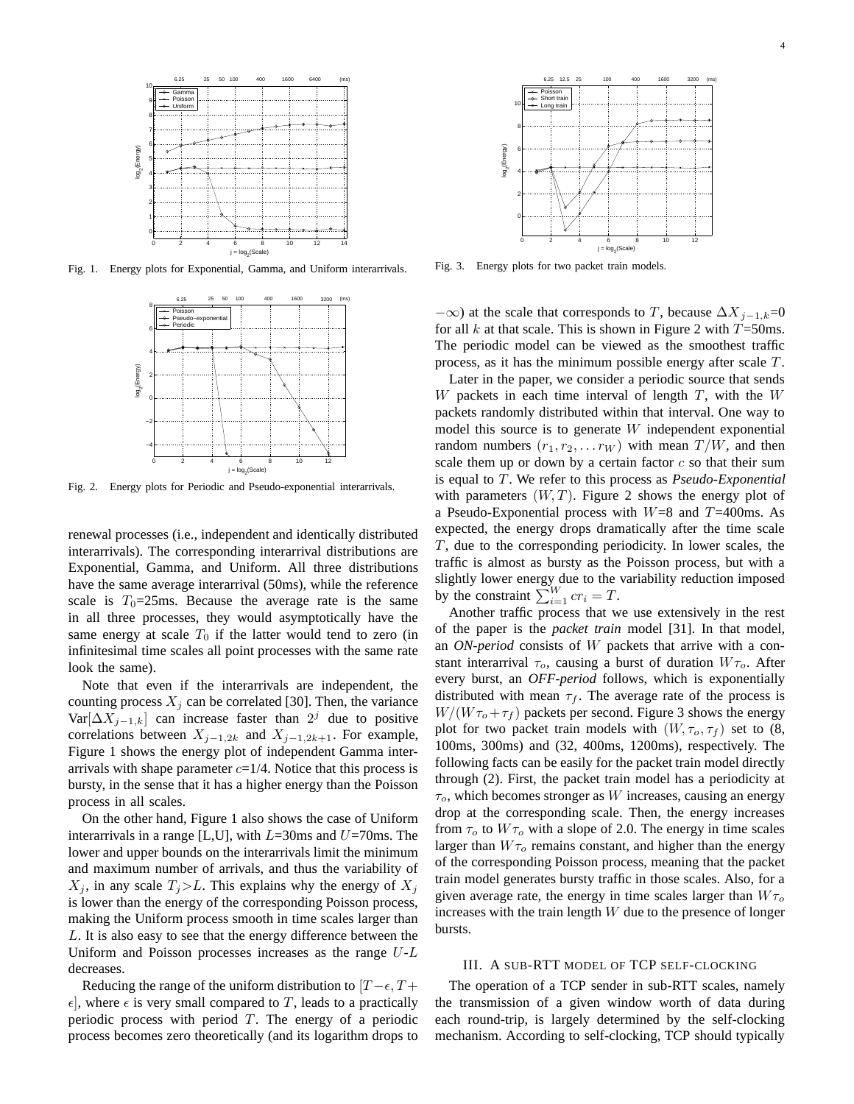

Fig. 1. Energy plots for Exponential, Gamma, and Uniform interarrivals.



Fig. 2. Energy plots for Periodic and Pseudo-exponential interarrivals.

renewal processes (i.e., independent and identically distributed interarrivals). The corresponding interarrival distributions are Exponential, Gamma, and Uniform. All three distributions have the same average interarrival (50ms), while the reference scale is  $T_0=25$ ms. Because the average rate is the same in all three processes, they would asymptotically have the same energy at scale  $T_0$  if the latter would tend to zero (in infinitesimal time scales all point processes with the same rate look the same).

Note that even if the interarrivals are independent, the counting process  $X_i$  can be correlated [30]. Then, the variance Var $[\Delta X_{j-1,k}]$  can increase faster than  $2^j$  due to positive correlations between  $X_{j-1,2k}$  and  $X_{j-1,2k+1}$ . For example, Figure 1 shows the energy plot of independent Gamma interarrivals with shape parameter  $c=1/4$ . Notice that this process is bursty, in the sense that it has a higher energy than the Poisson process in all scales.

On the other hand, Figure 1 also shows the case of Uniform interarrivals in a range [L,U], with  $L=30$ ms and  $U=70$ ms. The lower and upper bounds on the interarrivals limit the minimum and maximum number of arrivals, and thus the variability of  $X_i$ , in any scale  $T_i > L$ . This explains why the energy of  $X_i$ is lower than the energy of the corresponding Poisson process, making the Uniform process smooth in time scales larger than L. It is also easy to see that the energy difference between the Uniform and Poisson processes increases as the range  $U-L$ decreases.

Reducing the range of the uniform distribution to  $[T-\epsilon, T+$  $\epsilon$ , where  $\epsilon$  is very small compared to T, leads to a practically periodic process with period  $T$ . The energy of a periodic process becomes zero theoretically (and its logarithm drops to



Fig. 3. Energy plots for two packet train models.

 $-\infty$ ) at the scale that corresponds to T, because  $\Delta X_{j-1,k}=0$ for all k at that scale. This is shown in Figure 2 with  $T=50$ ms. The periodic model can be viewed as the smoothest traffic process, as it has the minimum possible energy after scale T.

Later in the paper, we consider a periodic source that sends W packets in each time interval of length  $T$ , with the  $W$ packets randomly distributed within that interval. One way to model this source is to generate  $W$  independent exponential random numbers  $(r_1, r_2, \ldots r_W)$  with mean  $T/W$ , and then scale them up or down by a certain factor  $c$  so that their sum is equal to T. We refer to this process as *Pseudo-Exponential* with parameters  $(W, T)$ . Figure 2 shows the energy plot of a Pseudo-Exponential process with  $W=8$  and T=400ms. As expected, the energy drops dramatically after the time scale  $T$ , due to the corresponding periodicity. In lower scales, the traffic is almost as bursty as the Poisson process, but with a slightly lower energy due to the variability reduction imposed by the constraint  $\sum_{i=1}^{W} cr_i = T$ .

Another traffic process that we use extensively in the rest of the paper is the *packet train* model [31]. In that model, an *ON-period* consists of W packets that arrive with a constant interarrival  $\tau_o$ , causing a burst of duration  $W\tau_o$ . After every burst, an *OFF-period* follows, which is exponentially distributed with mean  $\tau_f$ . The average rate of the process is  $W/(W\tau_o+\tau_f)$  packets per second. Figure 3 shows the energy plot for two packet train models with  $(W, \tau_o, \tau_f)$  set to  $(8, \tau_o)$ 100ms, 300ms) and (32, 400ms, 1200ms), respectively. The following facts can be easily for the packet train model directly through (2). First, the packet train model has a periodicity at  $\tau_o$ , which becomes stronger as W increases, causing an energy drop at the corresponding scale. Then, the energy increases from  $\tau_o$  to  $W\tau_o$  with a slope of 2.0. The energy in time scales larger than  $W_{\tau_o}$  remains constant, and higher than the energy of the corresponding Poisson process, meaning that the packet train model generates bursty traffic in those scales. Also, for a given average rate, the energy in time scales larger than  $W\tau_o$ increases with the train length  $W$  due to the presence of longer bursts.

## III. A SUB-RTT MODEL OF TCP SELF-CLOCKING

The operation of a TCP sender in sub-RTT scales, namely the transmission of a given window worth of data during each round-trip, is largely determined by the self-clocking mechanism. According to self-clocking, TCP should typically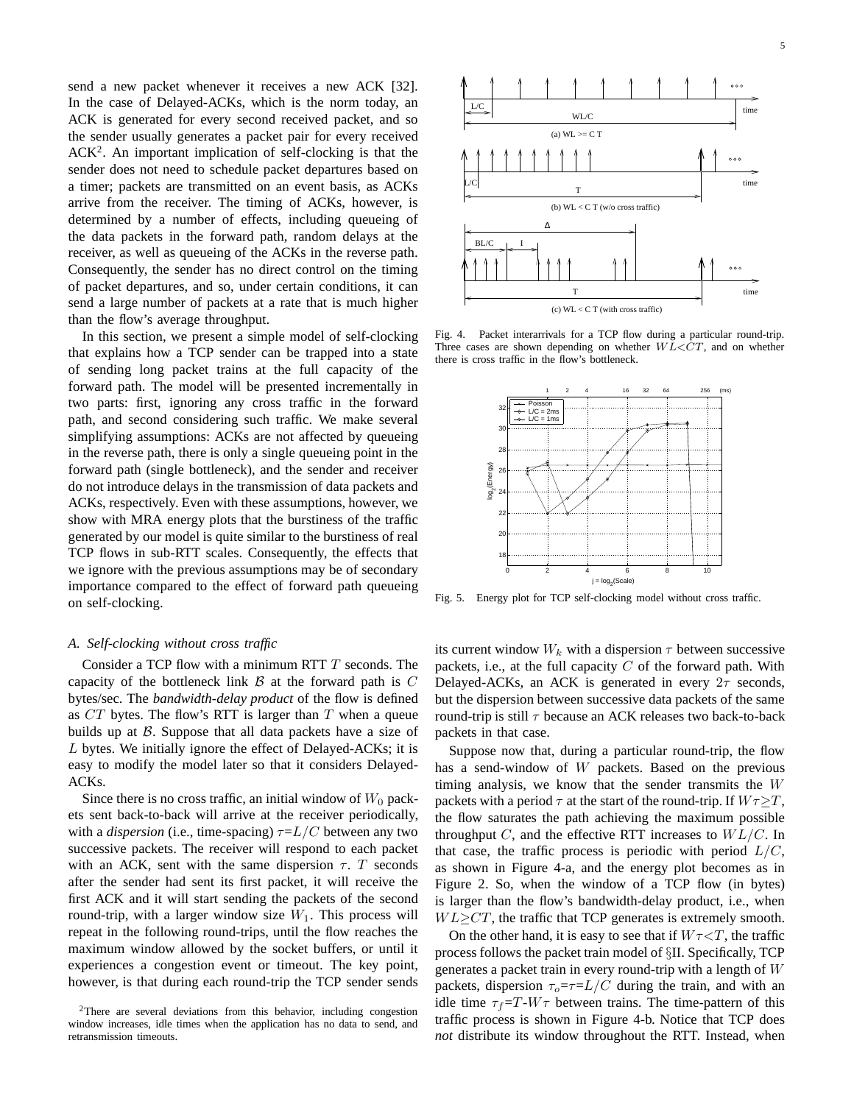send a new packet whenever it receives a new ACK [32]. In the case of Delayed-ACKs, which is the norm today, an ACK is generated for every second received packet, and so the sender usually generates a packet pair for every received ACK<sup>2</sup>. An important implication of self-clocking is that the sender does not need to schedule packet departures based on a timer; packets are transmitted on an event basis, as ACKs arrive from the receiver. The timing of ACKs, however, is determined by a number of effects, including queueing of the data packets in the forward path, random delays at the receiver, as well as queueing of the ACKs in the reverse path. Consequently, the sender has no direct control on the timing of packet departures, and so, under certain conditions, it can send a large number of packets at a rate that is much higher than the flow's average throughput.

In this section, we present a simple model of self-clocking that explains how a TCP sender can be trapped into a state of sending long packet trains at the full capacity of the forward path. The model will be presented incrementally in two parts: first, ignoring any cross traffic in the forward path, and second considering such traffic. We make several simplifying assumptions: ACKs are not affected by queueing in the reverse path, there is only a single queueing point in the forward path (single bottleneck), and the sender and receiver do not introduce delays in the transmission of data packets and ACKs, respectively. Even with these assumptions, however, we show with MRA energy plots that the burstiness of the traffic generated by our model is quite similar to the burstiness of real TCP flows in sub-RTT scales. Consequently, the effects that we ignore with the previous assumptions may be of secondary importance compared to the effect of forward path queueing on self-clocking.

## *A. Self-clocking without cross traffic*

Consider a TCP flow with a minimum RTT T seconds. The capacity of the bottleneck link  $\beta$  at the forward path is  $C$ bytes/sec. The *bandwidth-delay product* of the flow is defined as  $CT$  bytes. The flow's RTT is larger than T when a queue builds up at  $\beta$ . Suppose that all data packets have a size of L bytes. We initially ignore the effect of Delayed-ACKs; it is easy to modify the model later so that it considers Delayed-ACKs.

Since there is no cross traffic, an initial window of  $W_0$  packets sent back-to-back will arrive at the receiver periodically, with a *dispersion* (i.e., time-spacing)  $\tau = L/C$  between any two successive packets. The receiver will respond to each packet with an ACK, sent with the same dispersion  $\tau$ . T seconds after the sender had sent its first packet, it will receive the first ACK and it will start sending the packets of the second round-trip, with a larger window size  $W_1$ . This process will repeat in the following round-trips, until the flow reaches the maximum window allowed by the socket buffers, or until it experiences a congestion event or timeout. The key point, however, is that during each round-trip the TCP sender sends





Fig. 4. Packet interarrivals for a TCP flow during a particular round-trip. Three cases are shown depending on whether  $W L < C T$ , and on whether there is cross traffic in the flow's bottleneck.



Fig. 5. Energy plot for TCP self-clocking model without cross traffic.

its current window  $W_k$  with a dispersion  $\tau$  between successive packets, i.e., at the full capacity  $C$  of the forward path. With Delayed-ACKs, an ACK is generated in every  $2\tau$  seconds, but the dispersion between successive data packets of the same round-trip is still  $\tau$  because an ACK releases two back-to-back packets in that case.

Suppose now that, during a particular round-trip, the flow has a send-window of W packets. Based on the previous timing analysis, we know that the sender transmits the W packets with a period  $\tau$  at the start of the round-trip. If  $W\tau \geq T$ , the flow saturates the path achieving the maximum possible throughput C, and the effective RTT increases to  $WL/C$ . In that case, the traffic process is periodic with period  $L/C$ , as shown in Figure 4-a, and the energy plot becomes as in Figure 2. So, when the window of a TCP flow (in bytes) is larger than the flow's bandwidth-delay product, i.e., when  $WL \geq CT$ , the traffic that TCP generates is extremely smooth.

On the other hand, it is easy to see that if  $W\tau < T$ , the traffic process follows the packet train model of §II. Specifically, TCP generates a packet train in every round-trip with a length of  $W$ packets, dispersion  $\tau_o = \tau = L/C$  during the train, and with an idle time  $\tau_f=T-W\tau$  between trains. The time-pattern of this traffic process is shown in Figure 4-b. Notice that TCP does *not* distribute its window throughout the RTT. Instead, when

 $2$ There are several deviations from this behavior, including congestion window increases, idle times when the application has no data to send, and retransmission timeouts.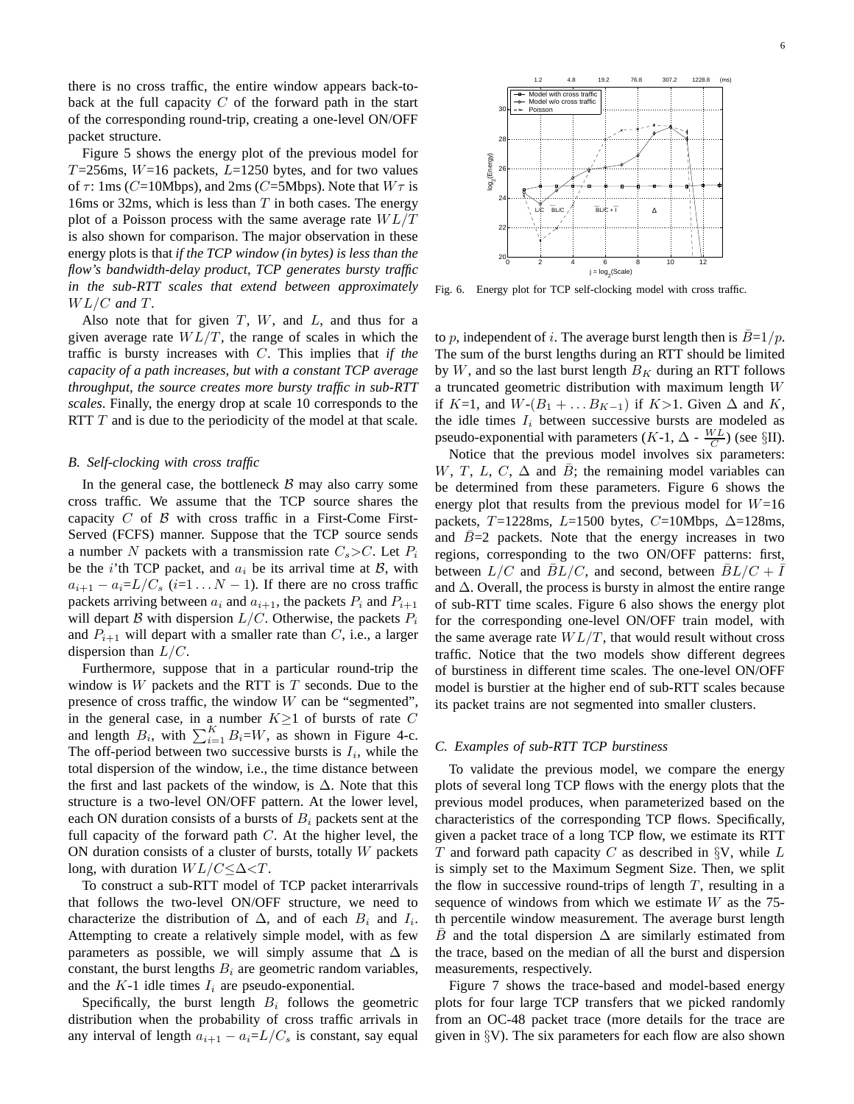there is no cross traffic, the entire window appears back-toback at the full capacity  $C$  of the forward path in the start of the corresponding round-trip, creating a one-level ON/OFF packet structure.

Figure 5 shows the energy plot of the previous model for  $T=256$ ms,  $W=16$  packets,  $L=1250$  bytes, and for two values of  $\tau$ : 1ms (C=10Mbps), and 2ms (C=5Mbps). Note that  $W\tau$  is 16ms or 32ms, which is less than  $T$  in both cases. The energy plot of a Poisson process with the same average rate  $WL/T$ is also shown for comparison. The major observation in these energy plots is that *if the TCP window (in bytes) is less than the flow's bandwidth-delay product, TCP generates bursty traffic in the sub-RTT scales that extend between approximately* WL/C *and* T*.*

Also note that for given  $T$ ,  $W$ , and  $L$ , and thus for a given average rate  $WL/T$ , the range of scales in which the traffic is bursty increases with C. This implies that *if the capacity of a path increases, but with a constant TCP average throughput, the source creates more bursty traffic in sub-RTT scales*. Finally, the energy drop at scale 10 corresponds to the RTT  $T$  and is due to the periodicity of the model at that scale.

#### *B. Self-clocking with cross traffic*

In the general case, the bottleneck  $\beta$  may also carry some cross traffic. We assume that the TCP source shares the capacity  $C$  of  $\beta$  with cross traffic in a First-Come First-Served (FCFS) manner. Suppose that the TCP source sends a number N packets with a transmission rate  $C_s > C$ . Let  $P_i$ be the *i*'th TCP packet, and  $a_i$  be its arrival time at  $\beta$ , with  $a_{i+1} - a_i = L/C_s$  (i=1...  $N - 1$ ). If there are no cross traffic packets arriving between  $a_i$  and  $a_{i+1}$ , the packets  $P_i$  and  $P_{i+1}$ will depart B with dispersion  $L/C$ . Otherwise, the packets  $P_i$ and  $P_{i+1}$  will depart with a smaller rate than C, i.e., a larger dispersion than  $L/C$ .

Furthermore, suppose that in a particular round-trip the window is  $W$  packets and the RTT is  $T$  seconds. Due to the presence of cross traffic, the window  $W$  can be "segmented", in the general case, in a number  $K \geq 1$  of bursts of rate C and length  $B_i$ , with  $\sum_{i=1}^{K} B_i = W$ , as shown in Figure 4-c. The off-period between two successive bursts is  $I_i$ , while the total dispersion of the window, i.e., the time distance between the first and last packets of the window, is  $\Delta$ . Note that this structure is a two-level ON/OFF pattern. At the lower level, each ON duration consists of a bursts of  $B_i$  packets sent at the full capacity of the forward path  $C$ . At the higher level, the ON duration consists of a cluster of bursts, totally  $W$  packets long, with duration  $WL/C < \Delta < T$ .

To construct a sub-RTT model of TCP packet interarrivals that follows the two-level ON/OFF structure, we need to characterize the distribution of  $\Delta$ , and of each  $B_i$  and  $I_i$ . Attempting to create a relatively simple model, with as few parameters as possible, we will simply assume that  $\Delta$  is constant, the burst lengths  $B_i$  are geometric random variables, and the  $K-1$  idle times  $I_i$  are pseudo-exponential.

Specifically, the burst length  $B_i$  follows the geometric distribution when the probability of cross traffic arrivals in any interval of length  $a_{i+1} - a_i = L/C_s$  is constant, say equal



Fig. 6. Energy plot for TCP self-clocking model with cross traffic.

to p, independent of i. The average burst length then is  $B=1/p$ . The sum of the burst lengths during an RTT should be limited by W, and so the last burst length  $B_K$  during an RTT follows a truncated geometric distribution with maximum length W if K=1, and  $W-(B_1 + \dots B_{K-1})$  if  $K>1$ . Given  $\Delta$  and  $K$ , the idle times  $I_i$  between successive bursts are modeled as pseudo-exponential with parameters ( $K$ -1,  $\Delta$  -  $\frac{WL}{C}$ ) (see §II).

Notice that the previous model involves six parameters: W, T, L, C,  $\Delta$  and  $\overline{B}$ ; the remaining model variables can be determined from these parameters. Figure 6 shows the energy plot that results from the previous model for  $W=16$ packets, T=1228ms, L=1500 bytes, C=10Mbps,  $\Delta$ =128ms, and  $\overline{B}=2$  packets. Note that the energy increases in two regions, corresponding to the two ON/OFF patterns: first, between  $L/C$  and  $BL/C$ , and second, between  $BL/C + \bar{I}$ and  $\Delta$ . Overall, the process is bursty in almost the entire range of sub-RTT time scales. Figure 6 also shows the energy plot for the corresponding one-level ON/OFF train model, with the same average rate  $WL/T$ , that would result without cross traffic. Notice that the two models show different degrees of burstiness in different time scales. The one-level ON/OFF model is burstier at the higher end of sub-RTT scales because its packet trains are not segmented into smaller clusters.

#### *C. Examples of sub-RTT TCP burstiness*

To validate the previous model, we compare the energy plots of several long TCP flows with the energy plots that the previous model produces, when parameterized based on the characteristics of the corresponding TCP flows. Specifically, given a packet trace of a long TCP flow, we estimate its RTT T and forward path capacity C as described in  $\S V$ , while L is simply set to the Maximum Segment Size. Then, we split the flow in successive round-trips of length  $T$ , resulting in a sequence of windows from which we estimate  $W$  as the 75th percentile window measurement. The average burst length  $\overline{B}$  and the total dispersion  $\Delta$  are similarly estimated from the trace, based on the median of all the burst and dispersion measurements, respectively.

Figure 7 shows the trace-based and model-based energy plots for four large TCP transfers that we picked randomly from an OC-48 packet trace (more details for the trace are given in §V). The six parameters for each flow are also shown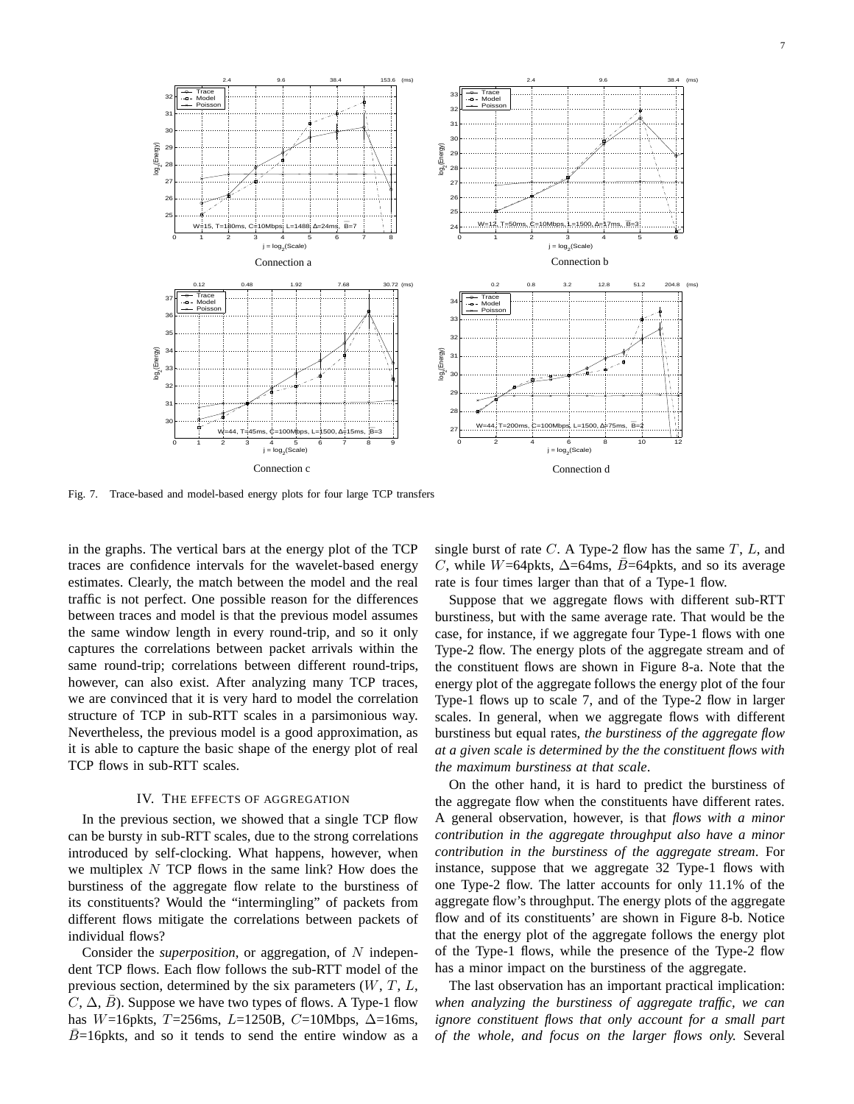

Fig. 7. Trace-based and model-based energy plots for four large TCP transfers

in the graphs. The vertical bars at the energy plot of the TCP traces are confidence intervals for the wavelet-based energy estimates. Clearly, the match between the model and the real traffic is not perfect. One possible reason for the differences between traces and model is that the previous model assumes the same window length in every round-trip, and so it only captures the correlations between packet arrivals within the same round-trip; correlations between different round-trips, however, can also exist. After analyzing many TCP traces, we are convinced that it is very hard to model the correlation structure of TCP in sub-RTT scales in a parsimonious way. Nevertheless, the previous model is a good approximation, as it is able to capture the basic shape of the energy plot of real TCP flows in sub-RTT scales.

## IV. THE EFFECTS OF AGGREGATION

In the previous section, we showed that a single TCP flow can be bursty in sub-RTT scales, due to the strong correlations introduced by self-clocking. What happens, however, when we multiplex  $N$  TCP flows in the same link? How does the burstiness of the aggregate flow relate to the burstiness of its constituents? Would the "intermingling" of packets from different flows mitigate the correlations between packets of individual flows?

Consider the *superposition*, or aggregation, of N independent TCP flows. Each flow follows the sub-RTT model of the previous section, determined by the six parameters  $(W, T, L,$  $C, \Delta, B$ ). Suppose we have two types of flows. A Type-1 flow has W=16pkts, T=256ms, L=1250B, C=10Mbps,  $\Delta$ =16ms,  $B=16$  pkts, and so it tends to send the entire window as a

single burst of rate  $C$ . A Type-2 flow has the same  $T$ ,  $L$ , and C, while W=64pkts,  $\Delta$ =64ms, B=64pkts, and so its average rate is four times larger than that of a Type-1 flow.

Suppose that we aggregate flows with different sub-RTT burstiness, but with the same average rate. That would be the case, for instance, if we aggregate four Type-1 flows with one Type-2 flow. The energy plots of the aggregate stream and of the constituent flows are shown in Figure 8-a. Note that the energy plot of the aggregate follows the energy plot of the four Type-1 flows up to scale 7, and of the Type-2 flow in larger scales. In general, when we aggregate flows with different burstiness but equal rates, *the burstiness of the aggregate flow at a given scale is determined by the the constituent flows with the maximum burstiness at that scale*.

On the other hand, it is hard to predict the burstiness of the aggregate flow when the constituents have different rates. A general observation, however, is that *flows with a minor contribution in the aggregate throughput also have a minor contribution in the burstiness of the aggregate stream*. For instance, suppose that we aggregate 32 Type-1 flows with one Type-2 flow. The latter accounts for only 11.1% of the aggregate flow's throughput. The energy plots of the aggregate flow and of its constituents' are shown in Figure 8-b. Notice that the energy plot of the aggregate follows the energy plot of the Type-1 flows, while the presence of the Type-2 flow has a minor impact on the burstiness of the aggregate.

The last observation has an important practical implication: *when analyzing the burstiness of aggregate traffic, we can ignore constituent flows that only account for a small part of the whole, and focus on the larger flows only.* Several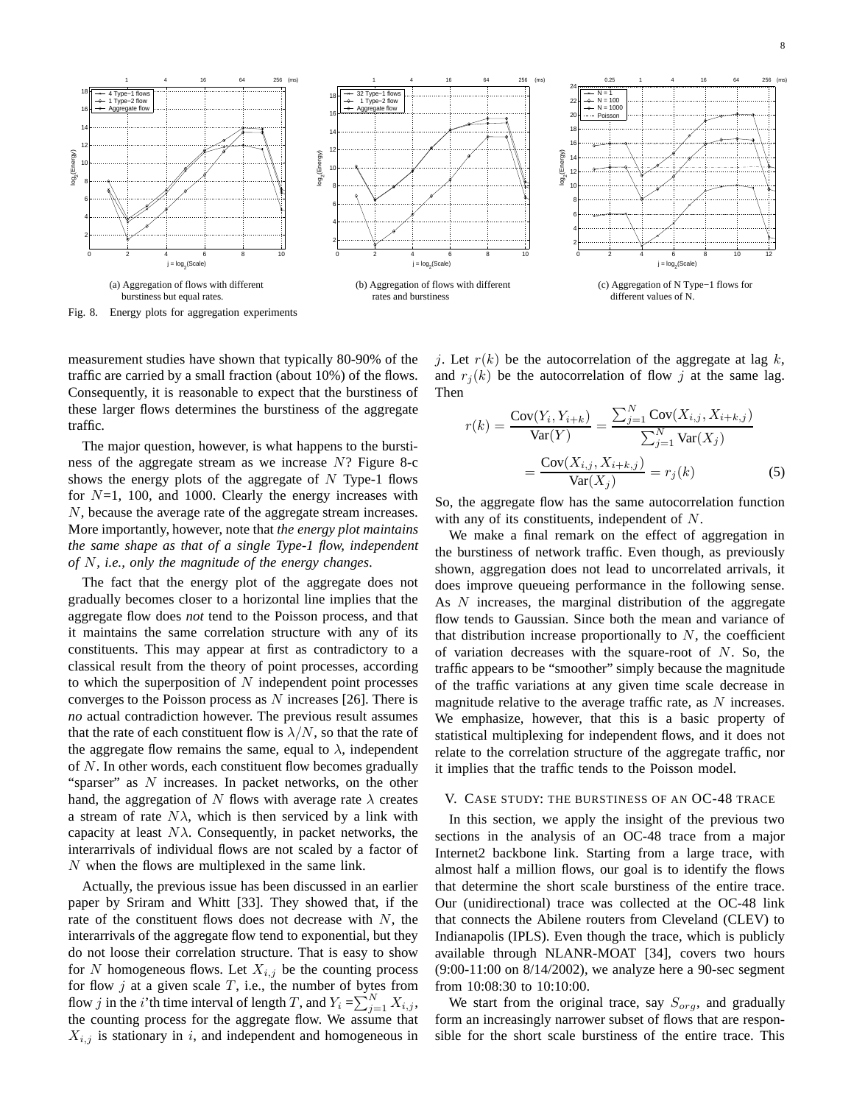

Fig. 8. Energy plots for aggregation experiments

measurement studies have shown that typically 80-90% of the traffic are carried by a small fraction (about 10%) of the flows. Consequently, it is reasonable to expect that the burstiness of these larger flows determines the burstiness of the aggregate traffic.

The major question, however, is what happens to the burstiness of the aggregate stream as we increase  $N$ ? Figure 8-c shows the energy plots of the aggregate of  $N$  Type-1 flows for  $N=1$ , 100, and 1000. Clearly the energy increases with N, because the average rate of the aggregate stream increases. More importantly, however, note that *the energy plot maintains the same shape as that of a single Type-1 flow, independent of* N*, i.e., only the magnitude of the energy changes*.

The fact that the energy plot of the aggregate does not gradually becomes closer to a horizontal line implies that the aggregate flow does *not* tend to the Poisson process, and that it maintains the same correlation structure with any of its constituents. This may appear at first as contradictory to a classical result from the theory of point processes, according to which the superposition of  $N$  independent point processes converges to the Poisson process as  $N$  increases [26]. There is *no* actual contradiction however. The previous result assumes that the rate of each constituent flow is  $\lambda/N$ , so that the rate of the aggregate flow remains the same, equal to  $\lambda$ , independent of  $N$ . In other words, each constituent flow becomes gradually "sparser" as  $N$  increases. In packet networks, on the other hand, the aggregation of N flows with average rate  $\lambda$  creates a stream of rate  $N\lambda$ , which is then serviced by a link with capacity at least  $N\lambda$ . Consequently, in packet networks, the interarrivals of individual flows are not scaled by a factor of N when the flows are multiplexed in the same link.

Actually, the previous issue has been discussed in an earlier paper by Sriram and Whitt [33]. They showed that, if the rate of the constituent flows does not decrease with  $N$ , the interarrivals of the aggregate flow tend to exponential, but they do not loose their correlation structure. That is easy to show for N homogeneous flows. Let  $X_{i,j}$  be the counting process for flow j at a given scale T, i.e., the number of bytes from flow j in the *i*'th time interval of length T, and  $Y_i = \sum_{j=1}^{N} X_{i,j}$ , the counting process for the aggregate flow. We assume that  $X_{i,j}$  is stationary in i, and independent and homogeneous in j. Let  $r(k)$  be the autocorrelation of the aggregate at lag k, and  $r_i(k)$  be the autocorrelation of flow j at the same lag. Then

$$
r(k) = \frac{\text{Cov}(Y_i, Y_{i+k})}{\text{Var}(Y)} = \frac{\sum_{j=1}^{N} \text{Cov}(X_{i,j}, X_{i+k,j})}{\sum_{j=1}^{N} \text{Var}(X_j)} = \frac{\text{Cov}(X_{i,j}, X_{i+k,j})}{\text{Var}(X_j)} = r_j(k)
$$
(5)

So, the aggregate flow has the same autocorrelation function with any of its constituents, independent of N.

We make a final remark on the effect of aggregation in the burstiness of network traffic. Even though, as previously shown, aggregation does not lead to uncorrelated arrivals, it does improve queueing performance in the following sense. As N increases, the marginal distribution of the aggregate flow tends to Gaussian. Since both the mean and variance of that distribution increase proportionally to  $N$ , the coefficient of variation decreases with the square-root of  $N$ . So, the traffic appears to be "smoother" simply because the magnitude of the traffic variations at any given time scale decrease in magnitude relative to the average traffic rate, as  $N$  increases. We emphasize, however, that this is a basic property of statistical multiplexing for independent flows, and it does not relate to the correlation structure of the aggregate traffic, nor it implies that the traffic tends to the Poisson model.

## V. CASE STUDY: THE BURSTINESS OF AN OC-48 TRACE

In this section, we apply the insight of the previous two sections in the analysis of an OC-48 trace from a major Internet2 backbone link. Starting from a large trace, with almost half a million flows, our goal is to identify the flows that determine the short scale burstiness of the entire trace. Our (unidirectional) trace was collected at the OC-48 link that connects the Abilene routers from Cleveland (CLEV) to Indianapolis (IPLS). Even though the trace, which is publicly available through NLANR-MOAT [34], covers two hours (9:00-11:00 on 8/14/2002), we analyze here a 90-sec segment from 10:08:30 to 10:10:00.

We start from the original trace, say  $S_{org}$ , and gradually form an increasingly narrower subset of flows that are responsible for the short scale burstiness of the entire trace. This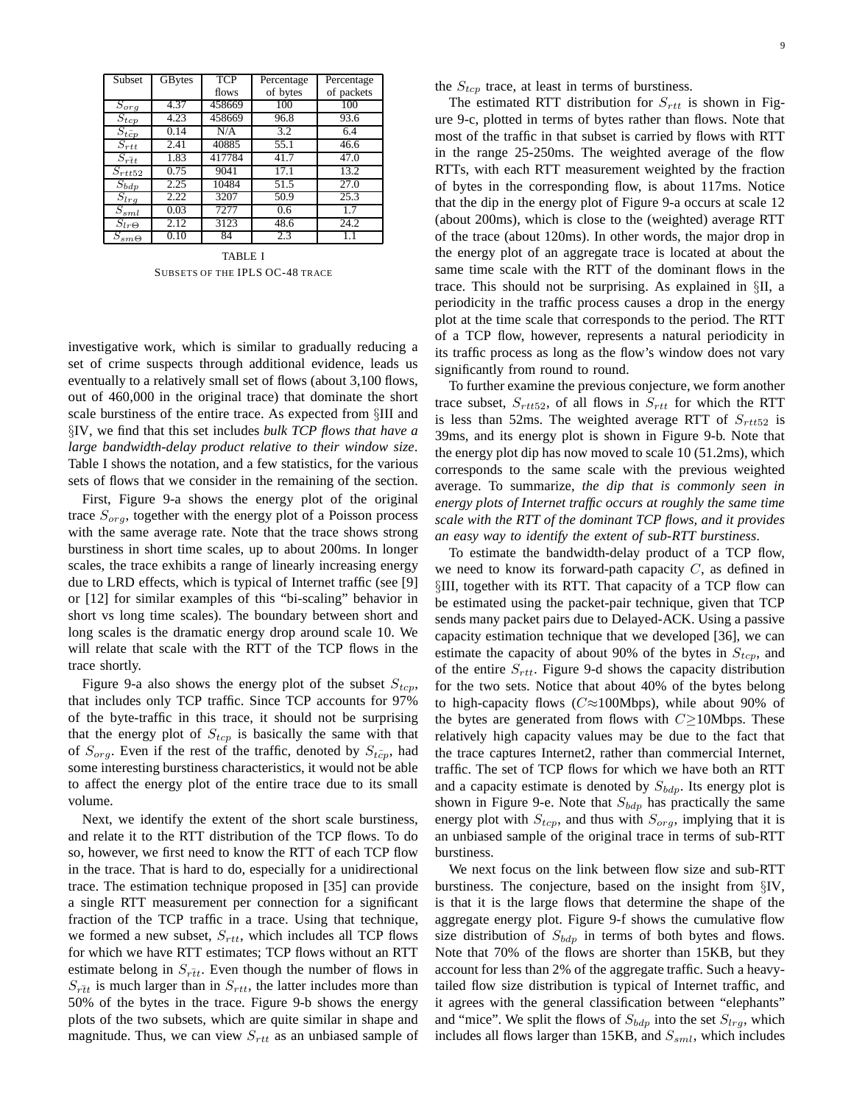| Subset                          | GBytes | TCP    | Percentage | Percentage |
|---------------------------------|--------|--------|------------|------------|
|                                 |        | flows  | of bytes   | of packets |
| $S_{org}$                       | 4.37   | 458669 | 100        | 100        |
| $S_{tcp}$                       | 4.23   | 458669 | 96.8       | 93.6       |
| $S_{t\bar{c}p}$                 | 0.14   | N/A    | 3.2        | 6.4        |
| $S_{rtt}$                       | 2.41   | 40885  | 55.1       | 46.6       |
| $\overline{S}_{r\overline{t}t}$ | 1.83   | 417784 | 41.7       | 47.0       |
| $S_{rtt52}$                     | 0.75   | 9041   | 17.1       | 13.2       |
| $S_{bdp}$                       | 2.25   | 10484  | 51.5       | 27.0       |
| $S_{lrg}$                       | 2.22   | 3207   | 50.9       | 25.3       |
| $\overline{S}_{sml}$            | 0.03   | 7277   | 0.6        | 17         |
| $S_{lr\Theta}$                  | 2.12   | 3123   | 48.6       | 24.2       |
| $S_{sm}\underline{\Theta}$      | 0.10   | 84     | 2.3        | 1.1        |

TABLE I SUBSETS OF THE IPLS OC-48 TRACE

investigative work, which is similar to gradually reducing a set of crime suspects through additional evidence, leads us eventually to a relatively small set of flows (about 3,100 flows, out of 460,000 in the original trace) that dominate the short scale burstiness of the entire trace. As expected from §III and §IV, we find that this set includes *bulk TCP flows that have a large bandwidth-delay product relative to their window size*. Table I shows the notation, and a few statistics, for the various sets of flows that we consider in the remaining of the section.

First, Figure 9-a shows the energy plot of the original trace  $S_{\text{orq}}$ , together with the energy plot of a Poisson process with the same average rate. Note that the trace shows strong burstiness in short time scales, up to about 200ms. In longer scales, the trace exhibits a range of linearly increasing energy due to LRD effects, which is typical of Internet traffic (see [9] or [12] for similar examples of this "bi-scaling" behavior in short vs long time scales). The boundary between short and long scales is the dramatic energy drop around scale 10. We will relate that scale with the RTT of the TCP flows in the trace shortly.

Figure 9-a also shows the energy plot of the subset  $S_{tcp}$ , that includes only TCP traffic. Since TCP accounts for 97% of the byte-traffic in this trace, it should not be surprising that the energy plot of  $S_{tcp}$  is basically the same with that of  $S_{org}$ . Even if the rest of the traffic, denoted by  $S_{t\bar{c}p}$ , had some interesting burstiness characteristics, it would not be able to affect the energy plot of the entire trace due to its small volume.

Next, we identify the extent of the short scale burstiness, and relate it to the RTT distribution of the TCP flows. To do so, however, we first need to know the RTT of each TCP flow in the trace. That is hard to do, especially for a unidirectional trace. The estimation technique proposed in [35] can provide a single RTT measurement per connection for a significant fraction of the TCP traffic in a trace. Using that technique, we formed a new subset,  $S_{rtt}$ , which includes all TCP flows for which we have RTT estimates; TCP flows without an RTT estimate belong in  $S_{\tilde{r}\tilde{t}t}$ . Even though the number of flows in  $S_{\tilde{r}\tilde{t}t}$  is much larger than in  $S_{rtt}$ , the latter includes more than 50% of the bytes in the trace. Figure 9-b shows the energy plots of the two subsets, which are quite similar in shape and magnitude. Thus, we can view  $S_{rtt}$  as an unbiased sample of the  $S_{tcp}$  trace, at least in terms of burstiness.

The estimated RTT distribution for  $S_{rtt}$  is shown in Figure 9-c, plotted in terms of bytes rather than flows. Note that most of the traffic in that subset is carried by flows with RTT in the range 25-250ms. The weighted average of the flow RTTs, with each RTT measurement weighted by the fraction of bytes in the corresponding flow, is about 117ms. Notice that the dip in the energy plot of Figure 9-a occurs at scale 12 (about 200ms), which is close to the (weighted) average RTT of the trace (about 120ms). In other words, the major drop in the energy plot of an aggregate trace is located at about the same time scale with the RTT of the dominant flows in the trace. This should not be surprising. As explained in §II, a periodicity in the traffic process causes a drop in the energy plot at the time scale that corresponds to the period. The RTT of a TCP flow, however, represents a natural periodicity in its traffic process as long as the flow's window does not vary significantly from round to round.

To further examine the previous conjecture, we form another trace subset,  $S_{rtt52}$ , of all flows in  $S_{rtt}$  for which the RTT is less than 52ms. The weighted average RTT of  $S_{rtt52}$  is 39ms, and its energy plot is shown in Figure 9-b. Note that the energy plot dip has now moved to scale 10 (51.2ms), which corresponds to the same scale with the previous weighted average. To summarize, *the dip that is commonly seen in energy plots of Internet traffic occurs at roughly the same time scale with the RTT of the dominant TCP flows, and it provides an easy way to identify the extent of sub-RTT burstiness*.

To estimate the bandwidth-delay product of a TCP flow, we need to know its forward-path capacity  $C$ , as defined in §III, together with its RTT. That capacity of a TCP flow can be estimated using the packet-pair technique, given that TCP sends many packet pairs due to Delayed-ACK. Using a passive capacity estimation technique that we developed [36], we can estimate the capacity of about 90% of the bytes in  $S_{tcp}$ , and of the entire  $S_{rtt}$ . Figure 9-d shows the capacity distribution for the two sets. Notice that about 40% of the bytes belong to high-capacity flows ( $C \approx 100$ Mbps), while about 90% of the bytes are generated from flows with  $C\geq$ 10Mbps. These relatively high capacity values may be due to the fact that the trace captures Internet2, rather than commercial Internet, traffic. The set of TCP flows for which we have both an RTT and a capacity estimate is denoted by  $S_{bdp}$ . Its energy plot is shown in Figure 9-e. Note that  $S_{bdp}$  has practically the same energy plot with  $S_{tcp}$ , and thus with  $S_{org}$ , implying that it is an unbiased sample of the original trace in terms of sub-RTT burstiness.

We next focus on the link between flow size and sub-RTT burstiness. The conjecture, based on the insight from §IV, is that it is the large flows that determine the shape of the aggregate energy plot. Figure 9-f shows the cumulative flow size distribution of  $S_{bdp}$  in terms of both bytes and flows. Note that 70% of the flows are shorter than 15KB, but they account for less than 2% of the aggregate traffic. Such a heavytailed flow size distribution is typical of Internet traffic, and it agrees with the general classification between "elephants" and "mice". We split the flows of  $S_{bdp}$  into the set  $S_{lrq}$ , which includes all flows larger than 15KB, and  $S<sub>sml</sub>$ , which includes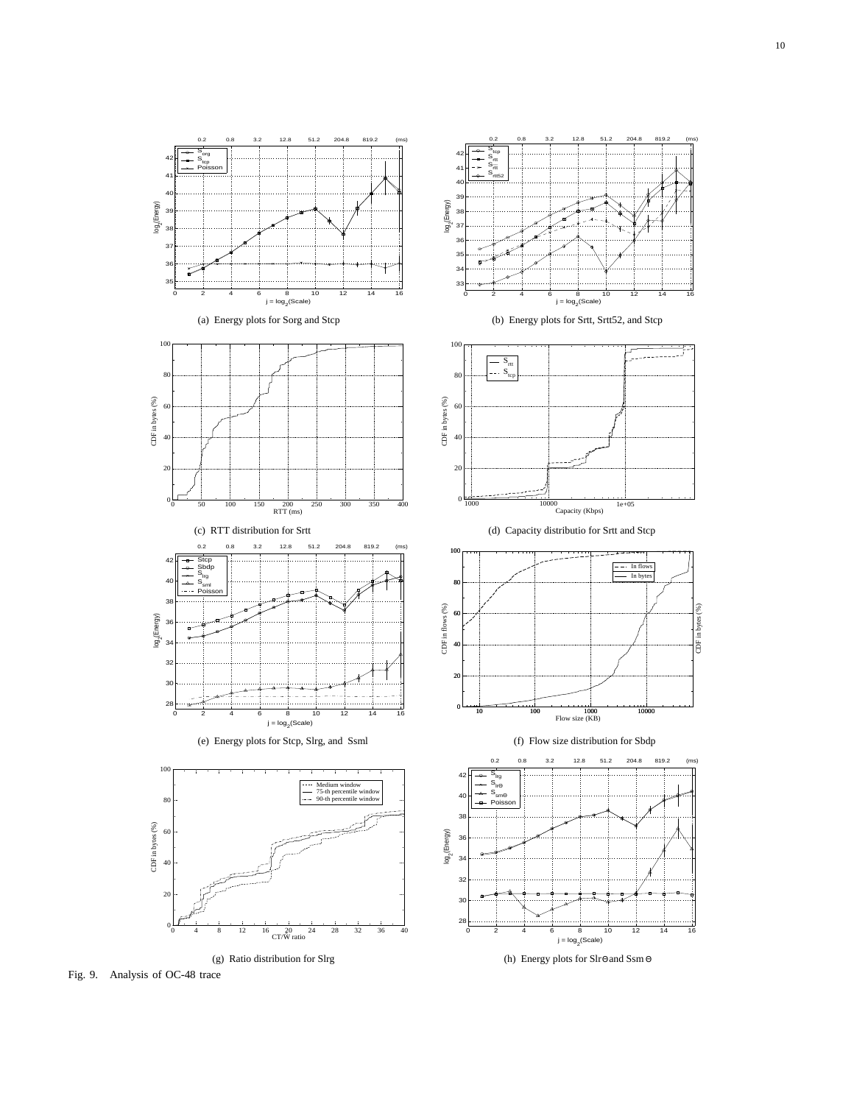

Fig. 9. Analysis of OC-48 trace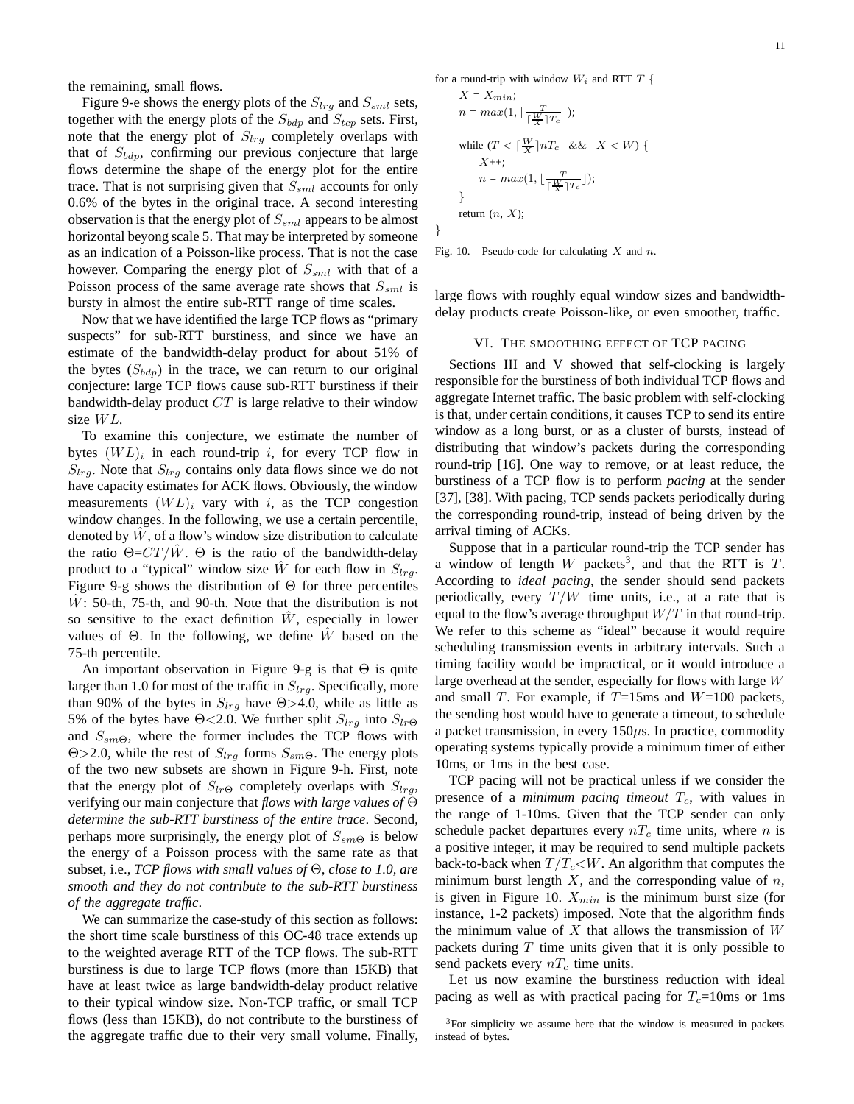the remaining, small flows.

Figure 9-e shows the energy plots of the  $S_{lrg}$  and  $S_{sml}$  sets, together with the energy plots of the  $S_{bdp}$  and  $S_{tcp}$  sets. First, note that the energy plot of  $S_{lrg}$  completely overlaps with that of  $S_{bdp}$ , confirming our previous conjecture that large flows determine the shape of the energy plot for the entire trace. That is not surprising given that  $S_{sml}$  accounts for only 0.6% of the bytes in the original trace. A second interesting observation is that the energy plot of  $S_{sml}$  appears to be almost horizontal beyong scale 5. That may be interpreted by someone as an indication of a Poisson-like process. That is not the case however. Comparing the energy plot of  $S_{sml}$  with that of a Poisson process of the same average rate shows that  $S_{sml}$  is bursty in almost the entire sub-RTT range of time scales.

Now that we have identified the large TCP flows as "primary suspects" for sub-RTT burstiness, and since we have an estimate of the bandwidth-delay product for about 51% of the bytes  $(S_{bdp})$  in the trace, we can return to our original conjecture: large TCP flows cause sub-RTT burstiness if their bandwidth-delay product  $CT$  is large relative to their window size WL.

To examine this conjecture, we estimate the number of bytes  $(WL)_i$  in each round-trip i, for every TCP flow in  $S_{lrq}$ . Note that  $S_{lrq}$  contains only data flows since we do not have capacity estimates for ACK flows. Obviously, the window measurements  $(WL)_i$  vary with i, as the TCP congestion window changes. In the following, we use a certain percentile, denoted by  $W$ , of a flow's window size distribution to calculate the ratio  $\Theta = CT/W$ .  $\Theta$  is the ratio of the bandwidth-delay product to a "typical" window size  $\hat{W}$  for each flow in  $S_{lra}$ . Figure 9-g shows the distribution of  $\Theta$  for three percentiles  $W:$  50-th, 75-th, and 90-th. Note that the distribution is not so sensitive to the exact definition  $\tilde{W}$ , especially in lower values of  $\Theta$ . In the following, we define W based on the 75-th percentile.

An important observation in Figure 9-g is that  $\Theta$  is quite larger than 1.0 for most of the traffic in  $S_{lrg}$ . Specifically, more than 90% of the bytes in  $S_{lrg}$  have  $\Theta > 4.0$ , while as little as 5% of the bytes have  $\Theta$ <2.0. We further split  $S_{lrq}$  into  $S_{lr\Theta}$ and  $S_{sm\Theta}$ , where the former includes the TCP flows with  $\Theta$ >2.0, while the rest of  $S<sub>lra</sub>$  forms  $S<sub>smΘ</sub>$ . The energy plots of the two new subsets are shown in Figure 9-h. First, note that the energy plot of  $S_{lr\Theta}$  completely overlaps with  $S_{lrg}$ , verifying our main conjecture that *flows with large values of* Θ *determine the sub-RTT burstiness of the entire trace*. Second, perhaps more surprisingly, the energy plot of  $S_{sm\Theta}$  is below the energy of a Poisson process with the same rate as that subset, i.e., *TCP flows with small values of* Θ*, close to 1.0, are smooth and they do not contribute to the sub-RTT burstiness of the aggregate traffic*.

We can summarize the case-study of this section as follows: the short time scale burstiness of this OC-48 trace extends up to the weighted average RTT of the TCP flows. The sub-RTT burstiness is due to large TCP flows (more than 15KB) that have at least twice as large bandwidth-delay product relative to their typical window size. Non-TCP traffic, or small TCP flows (less than 15KB), do not contribute to the burstiness of the aggregate traffic due to their very small volume. Finally, for a round-trip with window  $W_i$  and RTT T {

$$
X = X_{min};
$$
  
\n
$$
n = max(1, \lfloor \frac{T}{\lceil \frac{W}{X} \rceil T_c} \rfloor);
$$
  
\nwhile  $(T < \lceil \frac{W}{X} \rceil n T_c \&& X < W) \{X++;$   
\n
$$
n = max(1, \lfloor \frac{T}{\lceil \frac{W}{X} \rceil T_c} \rfloor);
$$
  
\n}  
\nreturn  $(n, X);$ 

Fig. 10. Pseudo-code for calculating  $X$  and  $n$ .

}

large flows with roughly equal window sizes and bandwidthdelay products create Poisson-like, or even smoother, traffic.

## VI. THE SMOOTHING EFFECT OF TCP PACING

Sections III and V showed that self-clocking is largely responsible for the burstiness of both individual TCP flows and aggregate Internet traffic. The basic problem with self-clocking is that, under certain conditions, it causes TCP to send its entire window as a long burst, or as a cluster of bursts, instead of distributing that window's packets during the corresponding round-trip [16]. One way to remove, or at least reduce, the burstiness of a TCP flow is to perform *pacing* at the sender [37], [38]. With pacing, TCP sends packets periodically during the corresponding round-trip, instead of being driven by the arrival timing of ACKs.

Suppose that in a particular round-trip the TCP sender has a window of length W packets<sup>3</sup>, and that the RTT is  $T$ . According to *ideal pacing*, the sender should send packets periodically, every  $T/W$  time units, i.e., at a rate that is equal to the flow's average throughput  $W/T$  in that round-trip. We refer to this scheme as "ideal" because it would require scheduling transmission events in arbitrary intervals. Such a timing facility would be impractical, or it would introduce a large overhead at the sender, especially for flows with large  $W$ and small T. For example, if  $T=15$ ms and  $W=100$  packets, the sending host would have to generate a timeout, to schedule a packet transmission, in every  $150\mu s$ . In practice, commodity operating systems typically provide a minimum timer of either 10ms, or 1ms in the best case.

TCP pacing will not be practical unless if we consider the presence of a *minimum pacing timeout*  $T_c$ , with values in the range of 1-10ms. Given that the TCP sender can only schedule packet departures every  $nT_c$  time units, where n is a positive integer, it may be required to send multiple packets back-to-back when  $T/T_c\ll W$ . An algorithm that computes the minimum burst length  $X$ , and the corresponding value of  $n$ , is given in Figure 10.  $X_{min}$  is the minimum burst size (for instance, 1-2 packets) imposed. Note that the algorithm finds the minimum value of X that allows the transmission of  $W$ packets during  $T$  time units given that it is only possible to send packets every  $nT_c$  time units.

Let us now examine the burstiness reduction with ideal pacing as well as with practical pacing for  $T_c$ =10ms or 1ms

 $3$ For simplicity we assume here that the window is measured in packets instead of bytes.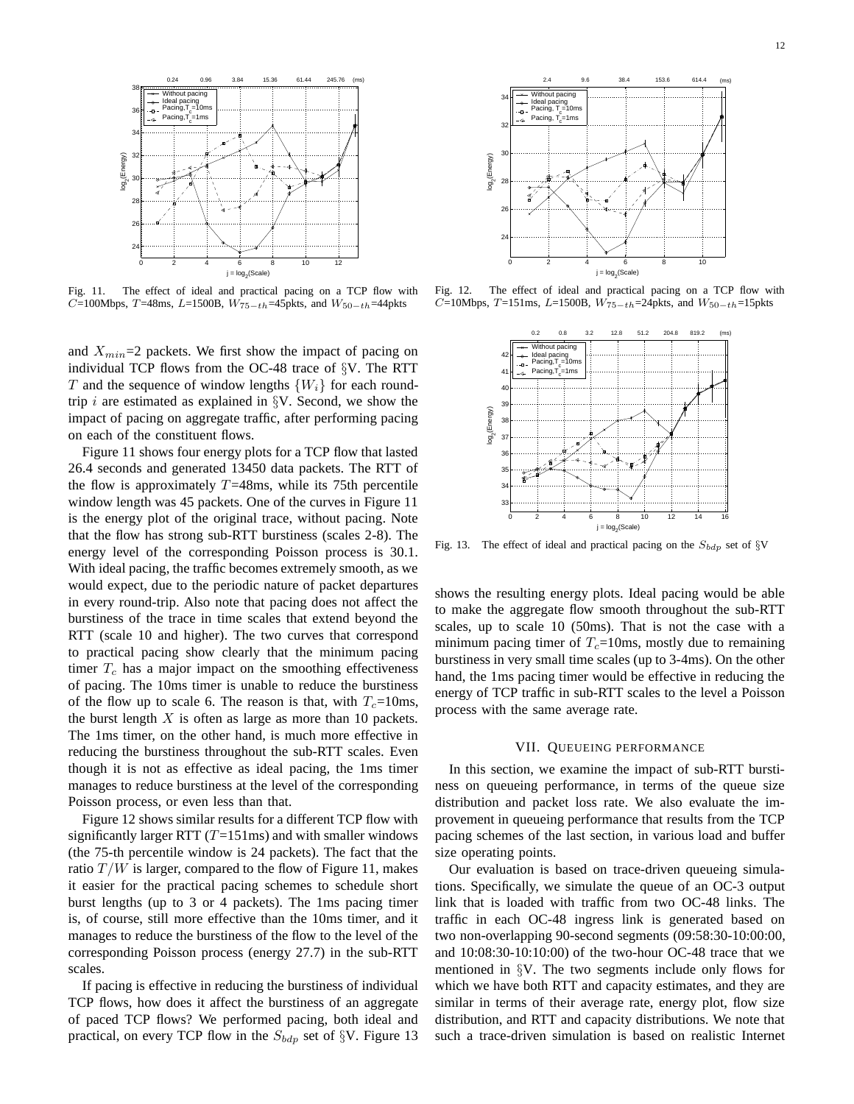

Fig. 11. The effect of ideal and practical pacing on a TCP flow with C=100Mbps, T=48ms, L=1500B,  $W_{75-th}$ =45pkts, and  $W_{50-th}$ =44pkts

and  $X_{min}=2$  packets. We first show the impact of pacing on individual TCP flows from the OC-48 trace of §V. The RTT T and the sequence of window lengths  $\{W_i\}$  for each roundtrip i are estimated as explained in  $\S V$ . Second, we show the impact of pacing on aggregate traffic, after performing pacing on each of the constituent flows.

Figure 11 shows four energy plots for a TCP flow that lasted 26.4 seconds and generated 13450 data packets. The RTT of the flow is approximately  $T=48$ ms, while its 75th percentile window length was 45 packets. One of the curves in Figure 11 is the energy plot of the original trace, without pacing. Note that the flow has strong sub-RTT burstiness (scales 2-8). The energy level of the corresponding Poisson process is 30.1. With ideal pacing, the traffic becomes extremely smooth, as we would expect, due to the periodic nature of packet departures in every round-trip. Also note that pacing does not affect the burstiness of the trace in time scales that extend beyond the RTT (scale 10 and higher). The two curves that correspond to practical pacing show clearly that the minimum pacing timer  $T_c$  has a major impact on the smoothing effectiveness of pacing. The 10ms timer is unable to reduce the burstiness of the flow up to scale 6. The reason is that, with  $T_c=10$ ms, the burst length  $X$  is often as large as more than 10 packets. The 1ms timer, on the other hand, is much more effective in reducing the burstiness throughout the sub-RTT scales. Even though it is not as effective as ideal pacing, the 1ms timer manages to reduce burstiness at the level of the corresponding Poisson process, or even less than that.

Figure 12 shows similar results for a different TCP flow with significantly larger RTT  $(T=151\text{ms})$  and with smaller windows (the 75-th percentile window is 24 packets). The fact that the ratio  $T/W$  is larger, compared to the flow of Figure 11, makes it easier for the practical pacing schemes to schedule short burst lengths (up to 3 or 4 packets). The 1ms pacing timer is, of course, still more effective than the 10ms timer, and it manages to reduce the burstiness of the flow to the level of the corresponding Poisson process (energy 27.7) in the sub-RTT scales.

If pacing is effective in reducing the burstiness of individual TCP flows, how does it affect the burstiness of an aggregate of paced TCP flows? We performed pacing, both ideal and practical, on every TCP flow in the  $S_{bdn}$  set of §V. Figure 13



Fig. 12. The effect of ideal and practical pacing on a TCP flow with  $C=10$ Mbps, T=151ms, L=1500B,  $W_{75-th}$ =24pkts, and  $W_{50-th}$ =15pkts



Fig. 13. The effect of ideal and practical pacing on the  $S_{bdp}$  set of §V

shows the resulting energy plots. Ideal pacing would be able to make the aggregate flow smooth throughout the sub-RTT scales, up to scale 10 (50ms). That is not the case with a minimum pacing timer of  $T_c$ =10ms, mostly due to remaining burstiness in very small time scales (up to 3-4ms). On the other hand, the 1ms pacing timer would be effective in reducing the energy of TCP traffic in sub-RTT scales to the level a Poisson process with the same average rate.

### VII. QUEUEING PERFORMANCE

In this section, we examine the impact of sub-RTT burstiness on queueing performance, in terms of the queue size distribution and packet loss rate. We also evaluate the improvement in queueing performance that results from the TCP pacing schemes of the last section, in various load and buffer size operating points.

Our evaluation is based on trace-driven queueing simulations. Specifically, we simulate the queue of an OC-3 output link that is loaded with traffic from two OC-48 links. The traffic in each OC-48 ingress link is generated based on two non-overlapping 90-second segments (09:58:30-10:00:00, and 10:08:30-10:10:00) of the two-hour OC-48 trace that we mentioned in §V. The two segments include only flows for which we have both RTT and capacity estimates, and they are similar in terms of their average rate, energy plot, flow size distribution, and RTT and capacity distributions. We note that such a trace-driven simulation is based on realistic Internet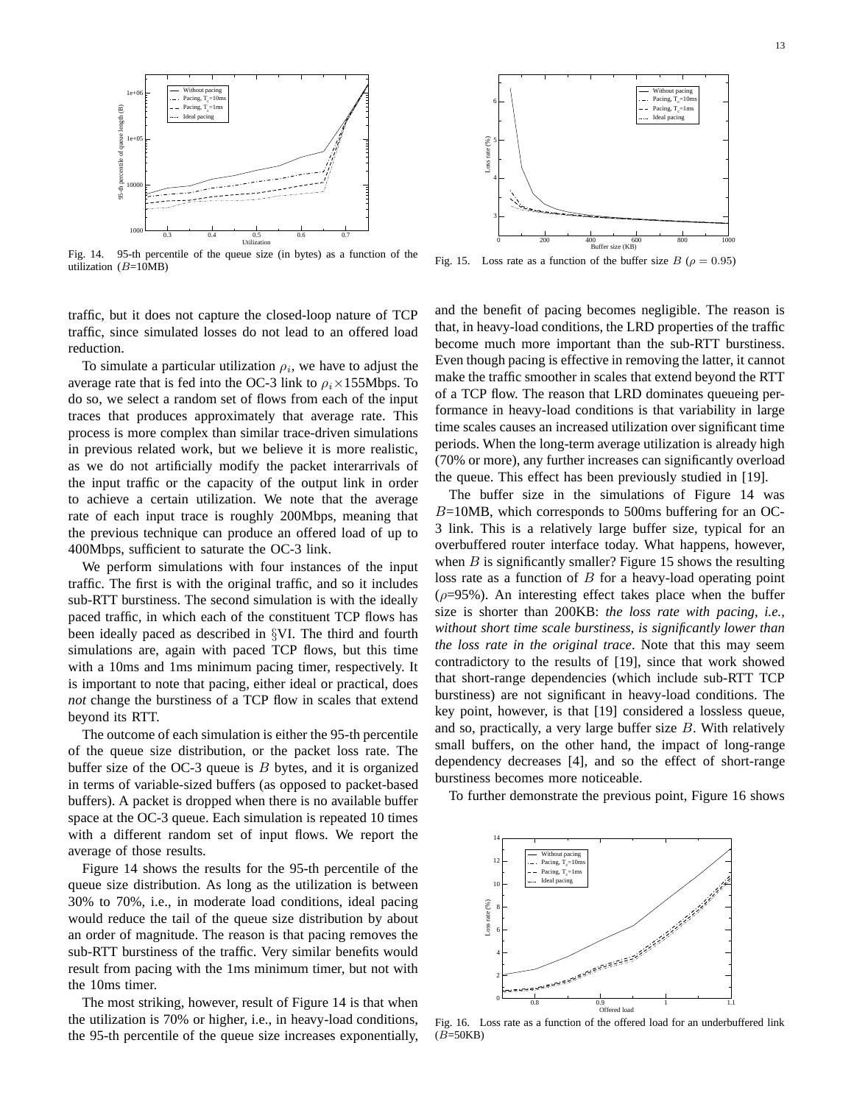

Fig. 14. 95-th percentile of the queue size (in bytes) as a function of the utilization  $(B=10MB)$ 



Fig. 15. Loss rate as a function of the buffer size  $B$  ( $\rho = 0.95$ )

traffic, but it does not capture the closed-loop nature of TCP traffic, since simulated losses do not lead to an offered load reduction.

To simulate a particular utilization  $\rho_i$ , we have to adjust the average rate that is fed into the OC-3 link to  $\rho_i \times 155$ Mbps. To do so, we select a random set of flows from each of the input traces that produces approximately that average rate. This process is more complex than similar trace-driven simulations in previous related work, but we believe it is more realistic, as we do not artificially modify the packet interarrivals of the input traffic or the capacity of the output link in order to achieve a certain utilization. We note that the average rate of each input trace is roughly 200Mbps, meaning that the previous technique can produce an offered load of up to 400Mbps, sufficient to saturate the OC-3 link.

We perform simulations with four instances of the input traffic. The first is with the original traffic, and so it includes sub-RTT burstiness. The second simulation is with the ideally paced traffic, in which each of the constituent TCP flows has been ideally paced as described in §VI. The third and fourth simulations are, again with paced TCP flows, but this time with a 10ms and 1ms minimum pacing timer, respectively. It is important to note that pacing, either ideal or practical, does *not* change the burstiness of a TCP flow in scales that extend beyond its RTT.

The outcome of each simulation is either the 95-th percentile of the queue size distribution, or the packet loss rate. The buffer size of the OC-3 queue is  $B$  bytes, and it is organized in terms of variable-sized buffers (as opposed to packet-based buffers). A packet is dropped when there is no available buffer space at the OC-3 queue. Each simulation is repeated 10 times with a different random set of input flows. We report the average of those results.

Figure 14 shows the results for the 95-th percentile of the queue size distribution. As long as the utilization is between 30% to 70%, i.e., in moderate load conditions, ideal pacing would reduce the tail of the queue size distribution by about an order of magnitude. The reason is that pacing removes the sub-RTT burstiness of the traffic. Very similar benefits would result from pacing with the 1ms minimum timer, but not with the 10ms timer.

The most striking, however, result of Figure 14 is that when the utilization is 70% or higher, i.e., in heavy-load conditions, the 95-th percentile of the queue size increases exponentially,

and the benefit of pacing becomes negligible. The reason is that, in heavy-load conditions, the LRD properties of the traffic become much more important than the sub-RTT burstiness. Even though pacing is effective in removing the latter, it cannot make the traffic smoother in scales that extend beyond the RTT of a TCP flow. The reason that LRD dominates queueing performance in heavy-load conditions is that variability in large time scales causes an increased utilization over significant time periods. When the long-term average utilization is already high (70% or more), any further increases can significantly overload the queue. This effect has been previously studied in [19].

The buffer size in the simulations of Figure 14 was  $B=10MB$ , which corresponds to 500ms buffering for an OC-3 link. This is a relatively large buffer size, typical for an overbuffered router interface today. What happens, however, when  $B$  is significantly smaller? Figure 15 shows the resulting loss rate as a function of  $B$  for a heavy-load operating point  $(\rho=95\%)$ . An interesting effect takes place when the buffer size is shorter than 200KB: *the loss rate with pacing, i.e., without short time scale burstiness, is significantly lower than the loss rate in the original trace*. Note that this may seem contradictory to the results of [19], since that work showed that short-range dependencies (which include sub-RTT TCP burstiness) are not significant in heavy-load conditions. The key point, however, is that [19] considered a lossless queue, and so, practically, a very large buffer size  $B$ . With relatively small buffers, on the other hand, the impact of long-range dependency decreases [4], and so the effect of short-range burstiness becomes more noticeable.

To further demonstrate the previous point, Figure 16 shows



Fig. 16. Loss rate as a function of the offered load for an underbuffered link  $(B=50KB)$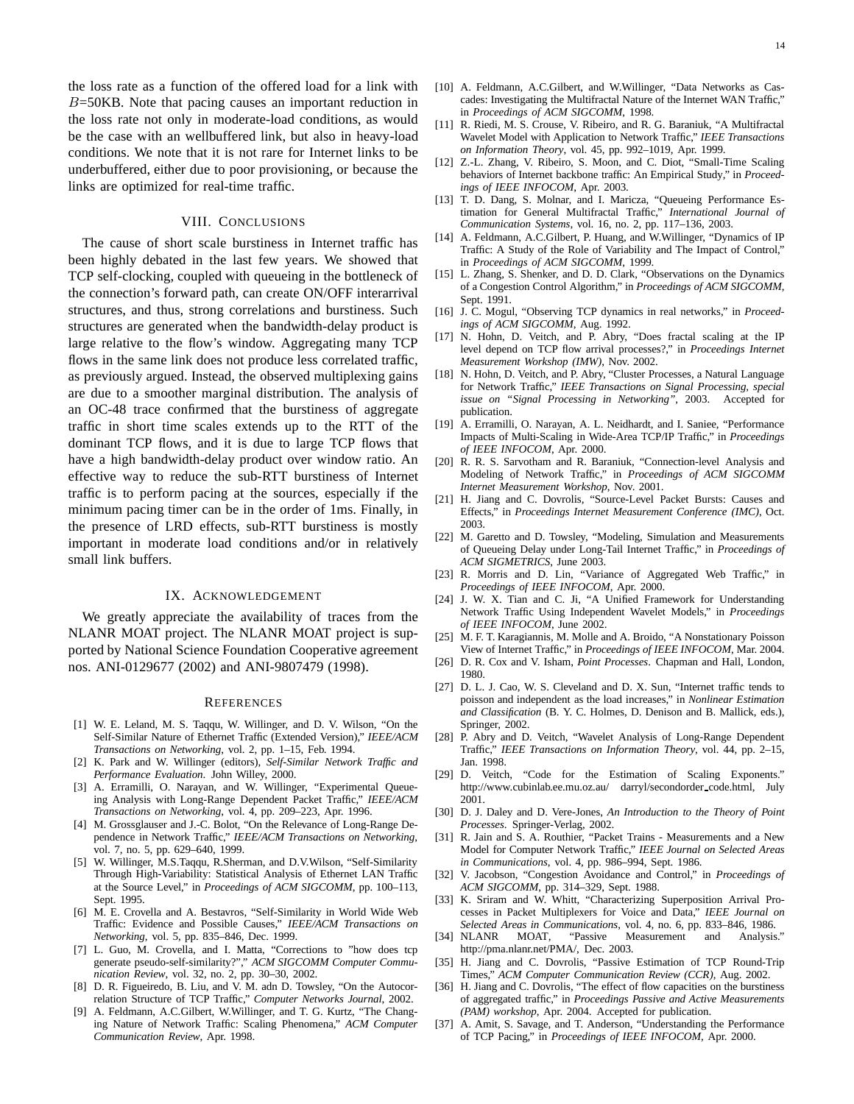the loss rate as a function of the offered load for a link with  $B=50KB$ . Note that pacing causes an important reduction in the loss rate not only in moderate-load conditions, as would be the case with an wellbuffered link, but also in heavy-load conditions. We note that it is not rare for Internet links to be underbuffered, either due to poor provisioning, or because the links are optimized for real-time traffic.

## VIII. CONCLUSIONS

The cause of short scale burstiness in Internet traffic has been highly debated in the last few years. We showed that TCP self-clocking, coupled with queueing in the bottleneck of the connection's forward path, can create ON/OFF interarrival structures, and thus, strong correlations and burstiness. Such structures are generated when the bandwidth-delay product is large relative to the flow's window. Aggregating many TCP flows in the same link does not produce less correlated traffic, as previously argued. Instead, the observed multiplexing gains are due to a smoother marginal distribution. The analysis of an OC-48 trace confirmed that the burstiness of aggregate traffic in short time scales extends up to the RTT of the dominant TCP flows, and it is due to large TCP flows that have a high bandwidth-delay product over window ratio. An effective way to reduce the sub-RTT burstiness of Internet traffic is to perform pacing at the sources, especially if the minimum pacing timer can be in the order of 1ms. Finally, in the presence of LRD effects, sub-RTT burstiness is mostly important in moderate load conditions and/or in relatively small link buffers.

## IX. ACKNOWLEDGEMENT

We greatly appreciate the availability of traces from the NLANR MOAT project. The NLANR MOAT project is supported by National Science Foundation Cooperative agreement nos. ANI-0129677 (2002) and ANI-9807479 (1998).

#### **REFERENCES**

- [1] W. E. Leland, M. S. Taqqu, W. Willinger, and D. V. Wilson, "On the Self-Similar Nature of Ethernet Traffic (Extended Version)," *IEEE/ACM Transactions on Networking*, vol. 2, pp. 1–15, Feb. 1994.
- [2] K. Park and W. Willinger (editors), *Self-Similar Network Traffic and Performance Evaluation*. John Willey, 2000.
- [3] A. Erramilli, O. Narayan, and W. Willinger, "Experimental Queueing Analysis with Long-Range Dependent Packet Traffic," *IEEE/ACM Transactions on Networking*, vol. 4, pp. 209–223, Apr. 1996.
- [4] M. Grossglauser and J.-C. Bolot, "On the Relevance of Long-Range Dependence in Network Traffic," *IEEE/ACM Transactions on Networking*, vol. 7, no. 5, pp. 629–640, 1999.
- [5] W. Willinger, M.S.Taqqu, R.Sherman, and D.V.Wilson, "Self-Similarity Through High-Variability: Statistical Analysis of Ethernet LAN Traffic at the Source Level," in *Proceedings of ACM SIGCOMM*, pp. 100–113, Sept. 1995.
- [6] M. E. Crovella and A. Bestavros, "Self-Similarity in World Wide Web Traffic: Evidence and Possible Causes," *IEEE/ACM Transactions on Networking*, vol. 5, pp. 835–846, Dec. 1999.
- [7] L. Guo, M. Crovella, and I. Matta, "Corrections to "how does tcp generate pseudo-self-similarity?"," *ACM SIGCOMM Computer Communication Review*, vol. 32, no. 2, pp. 30–30, 2002.
- [8] D. R. Figueiredo, B. Liu, and V. M. adn D. Towsley, "On the Autocorrelation Structure of TCP Traffic," *Computer Networks Journal*, 2002.
- [9] A. Feldmann, A.C.Gilbert, W.Willinger, and T. G. Kurtz, "The Changing Nature of Network Traffic: Scaling Phenomena," *ACM Computer Communication Review*, Apr. 1998.
- [10] A. Feldmann, A.C.Gilbert, and W.Willinger, "Data Networks as Cascades: Investigating the Multifractal Nature of the Internet WAN Traffic," in *Proceedings of ACM SIGCOMM*, 1998.
- [11] R. Riedi, M. S. Crouse, V. Ribeiro, and R. G. Baraniuk, "A Multifractal Wavelet Model with Application to Network Traffic," *IEEE Transactions on Information Theory*, vol. 45, pp. 992–1019, Apr. 1999.
- [12] Z.-L. Zhang, V. Ribeiro, S. Moon, and C. Diot, "Small-Time Scaling behaviors of Internet backbone traffic: An Empirical Study," in *Proceedings of IEEE INFOCOM*, Apr. 2003.
- [13] T. D. Dang, S. Molnar, and I. Maricza, "Queueing Performance Estimation for General Multifractal Traffic," *International Journal of Communication Systems*, vol. 16, no. 2, pp. 117–136, 2003.
- [14] A. Feldmann, A.C.Gilbert, P. Huang, and W.Willinger, "Dynamics of IP Traffic: A Study of the Role of Variability and The Impact of Control," in *Proceedings of ACM SIGCOMM*, 1999.
- [15] L. Zhang, S. Shenker, and D. D. Clark, "Observations on the Dynamics of a Congestion Control Algorithm," in *Proceedings of ACM SIGCOMM*, Sept. 1991.
- [16] J. C. Mogul, "Observing TCP dynamics in real networks," in *Proceedings of ACM SIGCOMM*, Aug. 1992.
- [17] N. Hohn, D. Veitch, and P. Abry, "Does fractal scaling at the IP level depend on TCP flow arrival processes?," in *Proceedings Internet Measurement Workshop (IMW)*, Nov. 2002.
- [18] N. Hohn, D. Veitch, and P. Abry, "Cluster Processes, a Natural Language for Network Traffic," *IEEE Transactions on Signal Processing, special issue on "Signal Processing in Networking"*, 2003. Accepted for publication.
- [19] A. Erramilli, O. Narayan, A. L. Neidhardt, and I. Saniee, "Performance Impacts of Multi-Scaling in Wide-Area TCP/IP Traffic," in *Proceedings of IEEE INFOCOM*, Apr. 2000.
- [20] R. R. S. Sarvotham and R. Baraniuk, "Connection-level Analysis and Modeling of Network Traffic," in *Proceedings of ACM SIGCOMM Internet Measurement Workshop*, Nov. 2001.
- [21] H. Jiang and C. Dovrolis, "Source-Level Packet Bursts: Causes and Effects," in *Proceedings Internet Measurement Conference (IMC)*, Oct. 2003.
- [22] M. Garetto and D. Towsley, "Modeling, Simulation and Measurements of Queueing Delay under Long-Tail Internet Traffic," in *Proceedings of ACM SIGMETRICS*, June 2003.
- [23] R. Morris and D. Lin, "Variance of Aggregated Web Traffic," in *Proceedings of IEEE INFOCOM*, Apr. 2000.
- [24] J. W. X. Tian and C. Ji, "A Unified Framework for Understanding Network Traffic Using Independent Wavelet Models," in *Proceedings of IEEE INFOCOM*, June 2002.
- [25] M. F. T. Karagiannis, M. Molle and A. Broido, "A Nonstationary Poisson View of Internet Traffic," in *Proceedings of IEEE INFOCOM*, Mar. 2004.
- [26] D. R. Cox and V. Isham, *Point Processes*. Chapman and Hall, London, 1980.
- [27] D. L. J. Cao, W. S. Cleveland and D. X. Sun, "Internet traffic tends to poisson and independent as the load increases," in *Nonlinear Estimation and Classification* (B. Y. C. Holmes, D. Denison and B. Mallick, eds.), Springer, 2002.
- [28] P. Abry and D. Veitch, "Wavelet Analysis of Long-Range Dependent Traffic," *IEEE Transactions on Information Theory*, vol. 44, pp. 2–15, Jan. 1998.
- [29] D. Veitch, "Code for the Estimation of Scaling Exponents." http://www.cubinlab.ee.mu.oz.au/ darryl/secondorder\_code.html, July 2001.
- [30] D. J. Daley and D. Vere-Jones, *An Introduction to the Theory of Point Processes*. Springer-Verlag, 2002.
- [31] R. Jain and S. A. Routhier, "Packet Trains Measurements and a New Model for Computer Network Traffic," *IEEE Journal on Selected Areas in Communications*, vol. 4, pp. 986–994, Sept. 1986.
- [32] V. Jacobson, "Congestion Avoidance and Control," in *Proceedings of ACM SIGCOMM*, pp. 314–329, Sept. 1988.
- [33] K. Sriram and W. Whitt, "Characterizing Superposition Arrival Processes in Packet Multiplexers for Voice and Data," *IEEE Journal on Selected Areas in Communications*, vol. 4, no. 6, pp. 833–846, 1986.
- [34] NLANR MOAT, "Passive Measurement and Analysis." http://pma.nlanr.net/PMA/, Dec. 2003.
- [35] H. Jiang and C. Dovrolis, "Passive Estimation of TCP Round-Trip Times," *ACM Computer Communication Review (CCR)*, Aug. 2002.
- [36] H. Jiang and C. Dovrolis, "The effect of flow capacities on the burstiness of aggregated traffic," in *Proceedings Passive and Active Measurements (PAM) workshop*, Apr. 2004. Accepted for publication.
- [37] A. Amit, S. Savage, and T. Anderson, "Understanding the Performance of TCP Pacing," in *Proceedings of IEEE INFOCOM*, Apr. 2000.